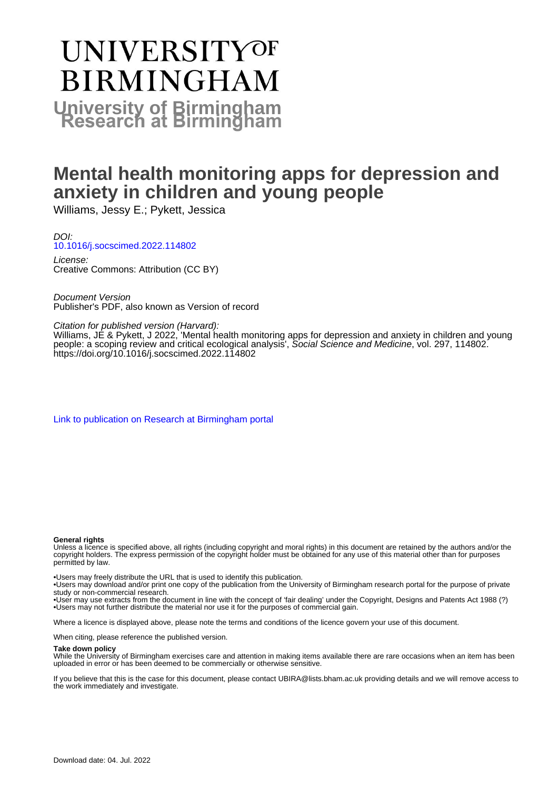# **UNIVERSITYOF BIRMINGHAM University of Birmingham**

# **Mental health monitoring apps for depression and anxiety in children and young people**

Williams, Jessy E.; Pykett, Jessica

DOI: [10.1016/j.socscimed.2022.114802](https://doi.org/10.1016/j.socscimed.2022.114802)

License: Creative Commons: Attribution (CC BY)

Document Version Publisher's PDF, also known as Version of record

Citation for published version (Harvard):

Williams, JE & Pykett, J 2022, 'Mental health monitoring apps for depression and anxiety in children and young people: a scoping review and critical ecological analysis', Social Science and Medicine, vol. 297, 114802. <https://doi.org/10.1016/j.socscimed.2022.114802>

[Link to publication on Research at Birmingham portal](https://birmingham.elsevierpure.com/en/publications/38a86d7e-f325-4f48-bda5-325fc3e40f90)

#### **General rights**

Unless a licence is specified above, all rights (including copyright and moral rights) in this document are retained by the authors and/or the copyright holders. The express permission of the copyright holder must be obtained for any use of this material other than for purposes permitted by law.

• Users may freely distribute the URL that is used to identify this publication.

• Users may download and/or print one copy of the publication from the University of Birmingham research portal for the purpose of private study or non-commercial research.

• User may use extracts from the document in line with the concept of 'fair dealing' under the Copyright, Designs and Patents Act 1988 (?) • Users may not further distribute the material nor use it for the purposes of commercial gain.

Where a licence is displayed above, please note the terms and conditions of the licence govern your use of this document.

When citing, please reference the published version.

#### **Take down policy**

While the University of Birmingham exercises care and attention in making items available there are rare occasions when an item has been uploaded in error or has been deemed to be commercially or otherwise sensitive.

If you believe that this is the case for this document, please contact UBIRA@lists.bham.ac.uk providing details and we will remove access to the work immediately and investigate.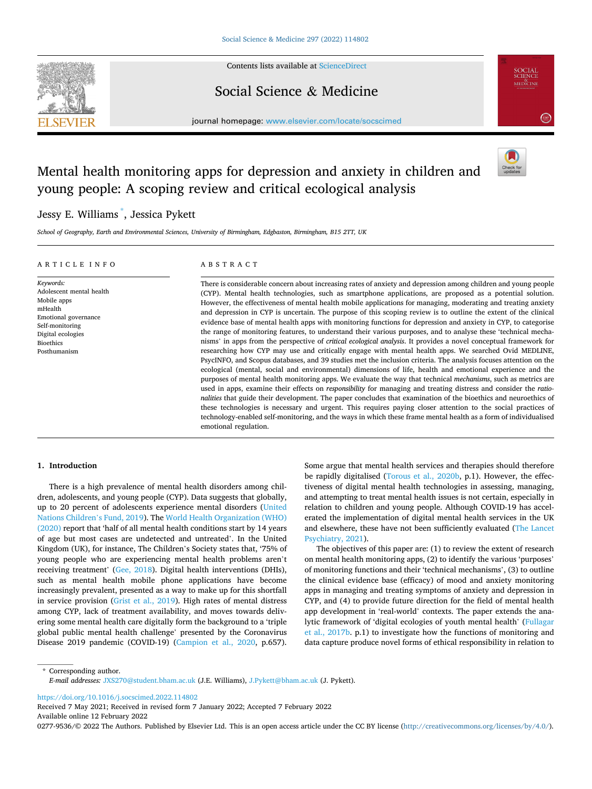

Contents lists available at [ScienceDirect](www.sciencedirect.com/science/journal/02779536)

## Social Science & Medicine



journal homepage: [www.elsevier.com/locate/socscimed](https://www.elsevier.com/locate/socscimed)

# Mental health monitoring apps for depression and anxiety in children and young people: A scoping review and critical ecological analysis



## Jessy E. Williams \* , Jessica Pykett

*School of Geography, Earth and Environmental Sciences, University of Birmingham, Edgbaston, Birmingham, B15 2TT, UK* 

#### ARTICLE INFO

#### ABSTRACT

*Keywords:*  Adolescent mental health Mobile apps mHealth Emotional governance Self-monitoring Digital ecologies Bioethics Posthumanism

There is considerable concern about increasing rates of anxiety and depression among children and young people (CYP). Mental health technologies, such as smartphone applications, are proposed as a potential solution. However, the effectiveness of mental health mobile applications for managing, moderating and treating anxiety and depression in CYP is uncertain. The purpose of this scoping review is to outline the extent of the clinical evidence base of mental health apps with monitoring functions for depression and anxiety in CYP, to categorise the range of monitoring features, to understand their various purposes, and to analyse these 'technical mechanisms' in apps from the perspective of *critical ecological analysis*. It provides a novel conceptual framework for researching how CYP may use and critically engage with mental health apps. We searched Ovid MEDLINE, PsycINFO, and Scopus databases, and 39 studies met the inclusion criteria. The analysis focuses attention on the ecological (mental, social and environmental) dimensions of life, health and emotional experience and the purposes of mental health monitoring apps. We evaluate the way that technical *mechanisms*, such as metrics are used in apps, examine their effects on *responsibility* for managing and treating distress and consider the *rationalities* that guide their development. The paper concludes that examination of the bioethics and neuroethics of these technologies is necessary and urgent. This requires paying closer attention to the social practices of technology-enabled self-monitoring, and the ways in which these frame mental health as a form of individualised emotional regulation.

#### **1. Introduction**

There is a high prevalence of mental health disorders among children, adolescents, and young people (CYP). Data suggests that globally, up to 20 percent of adolescents experience mental disorders ([United](#page-15-0)  [Nations Children](#page-15-0)'s Fund, 2019). The [World Health Organization \(WHO\)](#page-15-0)  [\(2020\)](#page-15-0) report that 'half of all mental health conditions start by 14 years of age but most cases are undetected and untreated'. In the United Kingdom (UK), for instance, The Children's Society states that, '75% of young people who are experiencing mental health problems aren't receiving treatment' [\(Gee, 2018](#page-14-0)). Digital health interventions (DHIs), such as mental health mobile phone applications have become increasingly prevalent, presented as a way to make up for this shortfall in service provision [\(Grist et al., 2019](#page-14-0)). High rates of mental distress among CYP, lack of treatment availability, and moves towards delivering some mental health care digitally form the background to a 'triple global public mental health challenge' presented by the Coronavirus Disease 2019 pandemic (COVID-19) ([Campion et al., 2020,](#page-13-0) p.657).

Some argue that mental health services and therapies should therefore be rapidly digitalised ([Torous et al., 2020b](#page-15-0), p.1). However, the effectiveness of digital mental health technologies in assessing, managing, and attempting to treat mental health issues is not certain, especially in relation to children and young people. Although COVID-19 has accelerated the implementation of digital mental health services in the UK and elsewhere, these have not been sufficiently evaluated ([The Lancet](#page-15-0)  [Psychiatry, 2021\)](#page-15-0).

The objectives of this paper are: (1) to review the extent of research on mental health monitoring apps, (2) to identify the various 'purposes' of monitoring functions and their 'technical mechanisms', (3) to outline the clinical evidence base (efficacy) of mood and anxiety monitoring apps in managing and treating symptoms of anxiety and depression in CYP, and (4) to provide future direction for the field of mental health app development in 'real-world' contexts. The paper extends the analytic framework of 'digital ecologies of youth mental health' ([Fullagar](#page-14-0)  [et al., 2017b](#page-14-0). p.1) to investigate how the functions of monitoring and data capture produce novel forms of ethical responsibility in relation to

\* Corresponding author. *E-mail addresses:* [JXS270@student.bham.ac.uk](mailto:JXS270@student.bham.ac.uk) (J.E. Williams), [J.Pykett@bham.ac.uk](mailto:J.Pykett@bham.ac.uk) (J. Pykett).

<https://doi.org/10.1016/j.socscimed.2022.114802>

Available online 12 February 2022 Received 7 May 2021; Received in revised form 7 January 2022; Accepted 7 February 2022

0277-9536/© 2022 The Authors. Published by Elsevier Ltd. This is an open access article under the CC BY license [\(http://creativecommons.org/licenses/by/4.0/\)](http://creativecommons.org/licenses/by/4.0/).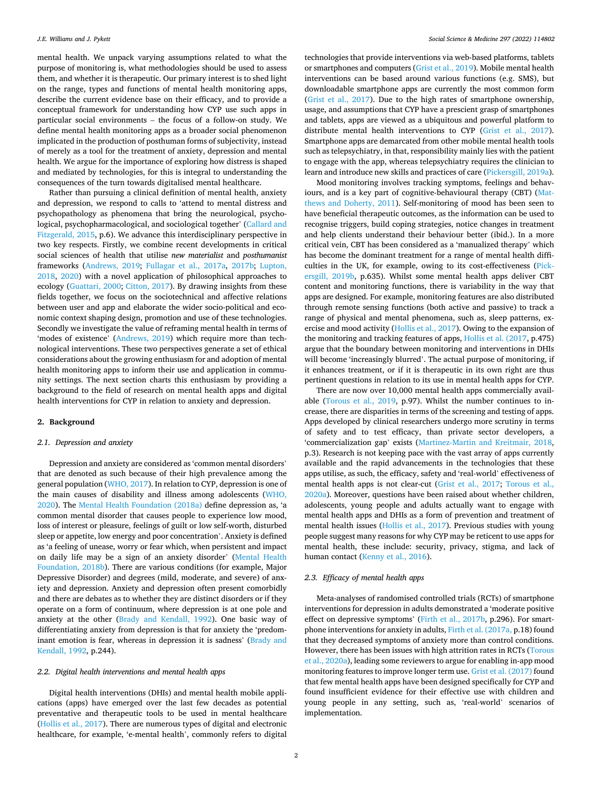mental health. We unpack varying assumptions related to what the purpose of monitoring is, what methodologies should be used to assess them, and whether it is therapeutic. Our primary interest is to shed light on the range, types and functions of mental health monitoring apps, describe the current evidence base on their efficacy, and to provide a conceptual framework for understanding how CYP use such apps in particular social environments – the focus of a follow-on study. We define mental health monitoring apps as a broader social phenomenon implicated in the production of posthuman forms of subjectivity, instead of merely as a tool for the treatment of anxiety, depression and mental health. We argue for the importance of exploring how distress is shaped and mediated by technologies, for this is integral to understanding the consequences of the turn towards digitalised mental healthcare.

Rather than pursuing a clinical definition of mental health, anxiety and depression, we respond to calls to 'attend to mental distress and psychopathology as phenomena that bring the neurological, psychological, psychopharmacological, and sociological together' [\(Callard and](#page-13-0)  [Fitzgerald, 2015](#page-13-0), p.6). We advance this interdisciplinary perspective in two key respects. Firstly, we combine recent developments in critical social sciences of health that utilise *new materialist* and *posthumanist*  frameworks [\(Andrews, 2019;](#page-13-0) [Fullagar et al., 2017a](#page-14-0), [2017b;](#page-14-0) [Lupton,](#page-14-0)  [2018,](#page-14-0) [2020](#page-14-0)) with a novel application of philosophical approaches to ecology [\(Guattari, 2000;](#page-14-0) [Citton, 2017\)](#page-13-0). By drawing insights from these fields together, we focus on the sociotechnical and affective relations between user and app and elaborate the wider socio-political and economic context shaping design, promotion and use of these technologies. Secondly we investigate the value of reframing mental health in terms of 'modes of existence' ([Andrews, 2019](#page-13-0)) which require more than technological interventions. These two perspectives generate a set of ethical considerations about the growing enthusiasm for and adoption of mental health monitoring apps to inform their use and application in community settings. The next section charts this enthusiasm by providing a background to the field of research on mental health apps and digital health interventions for CYP in relation to anxiety and depression.

#### **2. Background**

#### *2.1. Depression and anxiety*

Depression and anxiety are considered as 'common mental disorders' that are denoted as such because of their high prevalence among the general population [\(WHO, 2017](#page-15-0)). In relation to CYP, depression is one of the main causes of disability and illness among adolescents [\(WHO,](#page-15-0)  [2020\)](#page-15-0). The [Mental Health Foundation \(2018a\)](#page-14-0) define depression as, 'a common mental disorder that causes people to experience low mood, loss of interest or pleasure, feelings of guilt or low self-worth, disturbed sleep or appetite, low energy and poor concentration'. Anxiety is defined as 'a feeling of unease, worry or fear which, when persistent and impact on daily life may be a sign of an anxiety disorder' ([Mental Health](#page-14-0)  [Foundation, 2018b](#page-14-0)). There are various conditions (for example, Major Depressive Disorder) and degrees (mild, moderate, and severe) of anxiety and depression. Anxiety and depression often present comorbidly and there are debates as to whether they are distinct disorders or if they operate on a form of continuum, where depression is at one pole and anxiety at the other ([Brady and Kendall, 1992](#page-13-0)). One basic way of differentiating anxiety from depression is that for anxiety the 'predominant emotion is fear, whereas in depression it is sadness' ([Brady and](#page-13-0)  [Kendall, 1992,](#page-13-0) p.244).

#### *2.2. Digital health interventions and mental health apps*

Digital health interventions (DHIs) and mental health mobile applications (apps) have emerged over the last few decades as potential preventative and therapeutic tools to be used in mental healthcare ([Hollis et al., 2017](#page-14-0)). There are numerous types of digital and electronic healthcare, for example, 'e-mental health', commonly refers to digital

technologies that provide interventions via web-based platforms, tablets or smartphones and computers ([Grist et al., 2019](#page-14-0)). Mobile mental health interventions can be based around various functions (e.g. SMS), but downloadable smartphone apps are currently the most common form ([Grist et al., 2017](#page-14-0)). Due to the high rates of smartphone ownership, usage, and assumptions that CYP have a prescient grasp of smartphones and tablets, apps are viewed as a ubiquitous and powerful platform to distribute mental health interventions to CYP [\(Grist et al., 2017](#page-14-0)). Smartphone apps are demarcated from other mobile mental health tools such as telepsychiatry, in that, responsibility mainly lies with the patient to engage with the app, whereas telepsychiatry requires the clinician to learn and introduce new skills and practices of care ([Pickersgill, 2019a](#page-14-0)).

Mood monitoring involves tracking symptoms, feelings and behaviours, and is a key part of cognitive-behavioural therapy (CBT) [\(Mat](#page-14-0)[thews and Doherty, 2011](#page-14-0)). Self-monitoring of mood has been seen to have beneficial therapeutic outcomes, as the information can be used to recognise triggers, build coping strategies, notice changes in treatment and help clients understand their behaviour better (ibid.). In a more critical vein, CBT has been considered as a 'manualized therapy' which has become the dominant treatment for a range of mental health difficulties in the UK, for example, owing to its cost-effectiveness [\(Pick](#page-14-0)[ersgill, 2019b,](#page-14-0) p.635). Whilst some mental health apps deliver CBT content and monitoring functions, there is variability in the way that apps are designed. For example, monitoring features are also distributed through remote sensing functions (both active and passive) to track a range of physical and mental phenomena, such as, sleep patterns, exercise and mood activity [\(Hollis et al., 2017\)](#page-14-0). Owing to the expansion of the monitoring and tracking features of apps, [Hollis et al. \(2017](#page-14-0), p.475) argue that the boundary between monitoring and interventions in DHIs will become 'increasingly blurred'. The actual purpose of monitoring, if it enhances treatment, or if it is therapeutic in its own right are thus pertinent questions in relation to its use in mental health apps for CYP.

There are now over 10,000 mental health apps commercially available ([Torous et al., 2019](#page-15-0), p.97). Whilst the number continues to increase, there are disparities in terms of the screening and testing of apps. Apps developed by clinical researchers undergo more scrutiny in terms of safety and to test efficacy, than private sector developers, a 'commercialization gap' exists [\(Martinez-Martin and Kreitmair, 2018](#page-14-0), p.3). Research is not keeping pace with the vast array of apps currently available and the rapid advancements in the technologies that these apps utilise, as such, the efficacy, safety and 'real-world' effectiveness of mental health apps is not clear-cut ([Grist et al., 2017](#page-14-0); [Torous et al.,](#page-15-0)  [2020a\)](#page-15-0). Moreover, questions have been raised about whether children, adolescents, young people and adults actually want to engage with mental health apps and DHIs as a form of prevention and treatment of mental health issues ([Hollis et al., 2017\)](#page-14-0). Previous studies with young people suggest many reasons for why CYP may be reticent to use apps for mental health, these include: security, privacy, stigma, and lack of human contact ([Kenny et al., 2016](#page-14-0)).

#### *2.3. Efficacy of mental health apps*

Meta-analyses of randomised controlled trials (RCTs) of smartphone interventions for depression in adults demonstrated a 'moderate positive effect on depressive symptoms' [\(Firth et al., 2017b](#page-14-0), p.296). For smartphone interventions for anxiety in adults, [Firth et al. \(2017a,](#page-14-0) p.18) found that they decreased symptoms of anxiety more than control conditions. However, there has been issues with high attrition rates in RCTs [\(Torous](#page-15-0)  [et al., 2020a](#page-15-0)), leading some reviewers to argue for enabling in-app mood monitoring features to improve longer term use. [Grist et al. \(2017\)](#page-14-0) found that few mental health apps have been designed specifically for CYP and found insufficient evidence for their effective use with children and young people in any setting, such as, 'real-world' scenarios of implementation.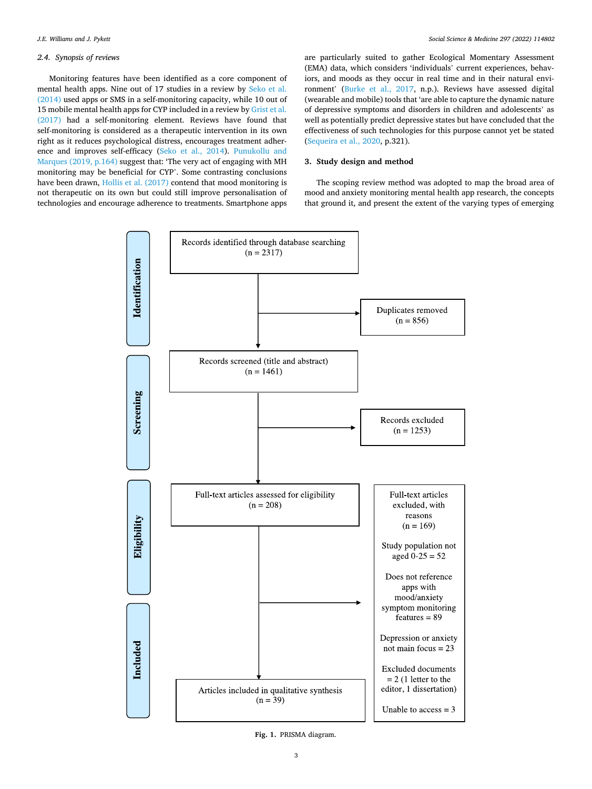#### <span id="page-3-0"></span>*2.4. Synopsis of reviews*

Monitoring features have been identified as a core component of mental health apps. Nine out of 17 studies in a review by [Seko et al.](#page-14-0)  [\(2014\)](#page-14-0) used apps or SMS in a self-monitoring capacity, while 10 out of 15 mobile mental health apps for CYP included in a review by [Grist et al.](#page-14-0)  [\(2017\)](#page-14-0) had a self-monitoring element. Reviews have found that self-monitoring is considered as a therapeutic intervention in its own right as it reduces psychological distress, encourages treatment adherence and improves self-efficacy ([Seko et al., 2014\)](#page-14-0). [Punukollu and](#page-14-0)  [Marques \(2019, p.164\)](#page-14-0) suggest that: 'The very act of engaging with MH monitoring may be beneficial for CYP'. Some contrasting conclusions have been drawn, [Hollis et al. \(2017\)](#page-14-0) contend that mood monitoring is not therapeutic on its own but could still improve personalisation of technologies and encourage adherence to treatments. Smartphone apps are particularly suited to gather Ecological Momentary Assessment (EMA) data, which considers 'individuals' current experiences, behaviors, and moods as they occur in real time and in their natural environment' ([Burke et al., 2017](#page-13-0), n.p.). Reviews have assessed digital (wearable and mobile) tools that 'are able to capture the dynamic nature of depressive symptoms and disorders in children and adolescents' as well as potentially predict depressive states but have concluded that the effectiveness of such technologies for this purpose cannot yet be stated ([Sequeira et al., 2020,](#page-15-0) p.321).

#### **3. Study design and method**

The scoping review method was adopted to map the broad area of mood and anxiety monitoring mental health app research, the concepts that ground it, and present the extent of the varying types of emerging



**Fig. 1.** PRISMA diagram.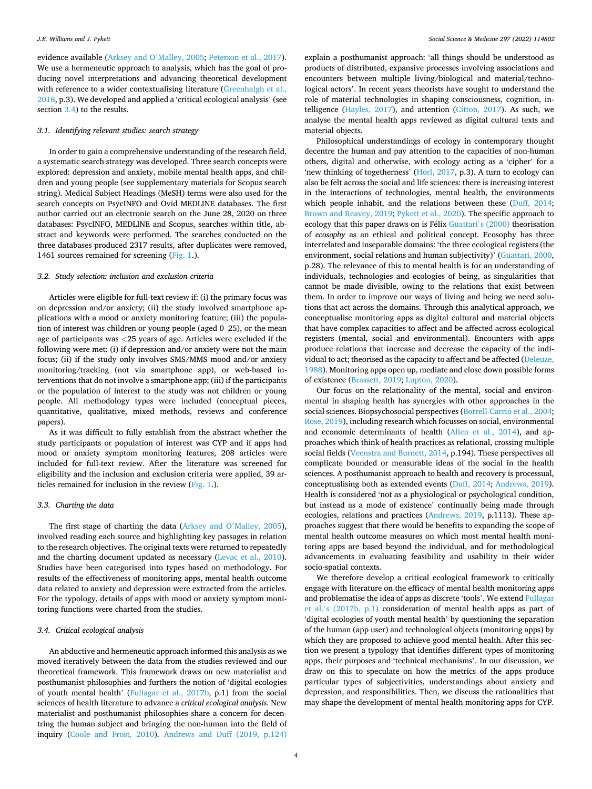evidence available ([Arksey and O](#page-13-0)'Malley, 2005; [Peterson et al., 2017](#page-14-0)). We use a hermeneutic approach to analysis, which has the goal of producing novel interpretations and advancing theoretical development with reference to a wider contextualising literature [\(Greenhalgh et al.,](#page-14-0)  [2018,](#page-14-0) p.3). We developed and applied a 'critical ecological analysis' (see section 3.4) to the results.

#### *3.1. Identifying relevant studies: search strategy*

In order to gain a comprehensive understanding of the research field, a systematic search strategy was developed. Three search concepts were explored: depression and anxiety, mobile mental health apps, and children and young people (see supplementary materials for Scopus search string). Medical Subject Headings (MeSH) terms were also used for the search concepts on PsycINFO and Ovid MEDLINE databases. The first author carried out an electronic search on the June 28, 2020 on three databases: PsycINFO, MEDLINE and Scopus, searches within title, abstract and keywords were performed. The searches conducted on the three databases produced 2317 results, after duplicates were removed, 1461 sources remained for screening [\(Fig. 1](#page-3-0).).

#### *3.2. Study selection: inclusion and exclusion criteria*

Articles were eligible for full-text review if: (i) the primary focus was on depression and/or anxiety; (ii) the study involved smartphone applications with a mood or anxiety monitoring feature; (iii) the population of interest was children or young people (aged 0–25), or the mean age of participants was *<*25 years of age. Articles were excluded if the following were met: (i) if depression and/or anxiety were not the main focus; (ii) if the study only involves SMS/MMS mood and/or anxiety monitoring/tracking (not via smartphone app), or web-based interventions that do not involve a smartphone app; (iii) if the participants or the population of interest to the study was not children or young people. All methodology types were included (conceptual pieces, quantitative, qualitative, mixed methods, reviews and conference papers).

As it was difficult to fully establish from the abstract whether the study participants or population of interest was CYP and if apps had mood or anxiety symptom monitoring features, 208 articles were included for full-text review. After the literature was screened for eligibility and the inclusion and exclusion criteria were applied, 39 articles remained for inclusion in the review ([Fig. 1.](#page-3-0)).

#### *3.3. Charting the data*

The first stage of charting the data ([Arksey and O](#page-13-0)'Malley, 2005), involved reading each source and highlighting key passages in relation to the research objectives. The original texts were returned to repeatedly and the charting document updated as necessary [\(Levac et al., 2010](#page-14-0)). Studies have been categorised into types based on methodology. For results of the effectiveness of monitoring apps, mental health outcome data related to anxiety and depression were extracted from the articles. For the typology, details of apps with mood or anxiety symptom monitoring functions were charted from the studies.

#### *3.4. Critical ecological analysis*

An abductive and hermeneutic approach informed this analysis as we moved iteratively between the data from the studies reviewed and our theoretical framework. This framework draws on new materialist and posthumanist philosophies and furthers the notion of 'digital ecologies of youth mental health' [\(Fullagar et al., 2017b](#page-14-0), p.1) from the social sciences of health literature to advance a *critical ecological analysis*. New materialist and posthumanist philosophies share a concern for decentring the human subject and bringing the non-human into the field of inquiry ([Coole and Frost, 2010](#page-13-0)). [Andrews and Duff \(2019, p.124\)](#page-13-0)  explain a posthumanist approach: 'all things should be understood as products of distributed, expansive processes involving associations and encounters between multiple living/biological and material/technological actors'. In recent years theorists have sought to understand the role of material technologies in shaping consciousness, cognition, intelligence [\(Hayles, 2017\)](#page-14-0), and attention ([Citton, 2017\)](#page-13-0). As such, we analyse the mental health apps reviewed as digital cultural texts and material objects.

Philosophical understandings of ecology in contemporary thought decentre the human and pay attention to the capacities of non-human others, digital and otherwise, with ecology acting as a 'cipher' for a 'new thinking of togetherness' [\(Horl,](#page-14-0) 2017, p.3). A turn to ecology can also be felt across the social and life sciences: there is increasing interest in the interactions of technologies, mental health, the environments which people inhabit, and the relations between these [\(Duff, 2014](#page-13-0); [Brown and Reavey, 2019](#page-13-0); [Pykett et al., 2020](#page-14-0)). The specific approach to ecology that this paper draws on is Félix Guattari's  $(2000)$  theorisation of *ecosophy* as an ethical and political concept. Ecosophy has three interrelated and inseparable domains: 'the three ecological registers (the environment, social relations and human subjectivity)' ([Guattari, 2000](#page-14-0), p.28). The relevance of this to mental health is for an understanding of individuals, technologies and ecologies of being, as singularities that cannot be made divisible, owing to the relations that exist between them. In order to improve our ways of living and being we need solutions that act across the domains. Through this analytical approach, we conceptualise monitoring apps as digital cultural and material objects that have complex capacities to affect and be affected across ecological registers (mental, social and environmental). Encounters with apps produce relations that increase and decrease the capacity of the individual to act; theorised as the capacity to affect and be affected (Deleuze, [1988\)](#page-13-0). Monitoring apps open up, mediate and close down possible forms of existence ([Brassett, 2019;](#page-13-0) [Lupton, 2020\)](#page-14-0).

Our focus on the relationality of the mental, social and environmental in shaping health has synergies with other approaches in the social sciences. Biopsychosocial perspectives (Borrell-Carrió et al., 2004; [Rose, 2019](#page-14-0)), including research which focusses on social, environmental and economic determinants of health [\(Allen et al., 2014\)](#page-13-0), and approaches which think of health practices as relational, crossing multiple social fields ([Veenstra and Burnett, 2014](#page-15-0), p.194). These perspectives all complicate bounded or measurable ideas of the social in the health sciences. A posthumanist approach to health and recovery is processual, conceptualising both as extended events ([Duff, 2014;](#page-13-0) [Andrews, 2019](#page-13-0)). Health is considered 'not as a physiological or psychological condition, but instead as a mode of existence' continually being made through ecologies, relations and practices [\(Andrews, 2019](#page-13-0), p.1113). These approaches suggest that there would be benefits to expanding the scope of mental health outcome measures on which most mental health monitoring apps are based beyond the individual, and for methodological advancements in evaluating feasibility and usability in their wider socio-spatial contexts.

We therefore develop a critical ecological framework to critically engage with literature on the efficacy of mental health monitoring apps and problematise the idea of apps as discrete 'tools'. We extend [Fullagar](#page-14-0)  et al.'[s \(2017b, p.1\)](#page-14-0) consideration of mental health apps as part of 'digital ecologies of youth mental health' by questioning the separation of the human (app user) and technological objects (monitoring apps) by which they are proposed to achieve good mental health. After this section we present a typology that identifies different types of monitoring apps, their purposes and 'technical mechanisms'. In our discussion, we draw on this to speculate on how the metrics of the apps produce particular types of subjectivities, understandings about anxiety and depression, and responsibilities. Then, we discuss the rationalities that may shape the development of mental health monitoring apps for CYP.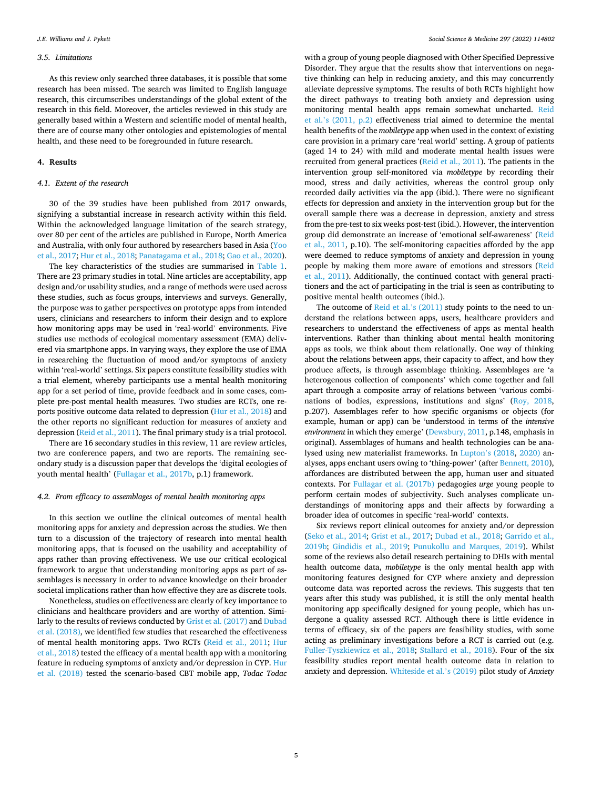#### *3.5. Limitations*

As this review only searched three databases, it is possible that some research has been missed. The search was limited to English language research, this circumscribes understandings of the global extent of the research in this field. Moreover, the articles reviewed in this study are generally based within a Western and scientific model of mental health, there are of course many other ontologies and epistemologies of mental health, and these need to be foregrounded in future research.

#### **4. Results**

#### *4.1. Extent of the research*

30 of the 39 studies have been published from 2017 onwards, signifying a substantial increase in research activity within this field. Within the acknowledged language limitation of the search strategy, over 80 per cent of the articles are published in Europe, North America and Australia, with only four authored by researchers based in Asia [\(Yoo](#page-15-0)  [et al., 2017;](#page-15-0) [Hur et al., 2018; Panatagama et al., 2018](#page-14-0); [Gao et al., 2020](#page-14-0)).

The key characteristics of the studies are summarised in [Table 1](#page-6-0). There are 23 primary studies in total. Nine articles are acceptability, app design and/or usability studies, and a range of methods were used across these studies, such as focus groups, interviews and surveys. Generally, the purpose was to gather perspectives on prototype apps from intended users, clinicians and researchers to inform their design and to explore how monitoring apps may be used in 'real-world' environments. Five studies use methods of ecological momentary assessment (EMA) delivered via smartphone apps. In varying ways, they explore the use of EMA in researching the fluctuation of mood and/or symptoms of anxiety within 'real-world' settings. Six papers constitute feasibility studies with a trial element, whereby participants use a mental health monitoring app for a set period of time, provide feedback and in some cases, complete pre-post mental health measures. Two studies are RCTs, one reports positive outcome data related to depression [\(Hur et al., 2018\)](#page-14-0) and the other reports no significant reduction for measures of anxiety and depression ([Reid et al., 2011\)](#page-14-0). The final primary study is a trial protocol.

There are 16 secondary studies in this review, 11 are review articles, two are conference papers, and two are reports. The remaining secondary study is a discussion paper that develops the 'digital ecologies of youth mental health' [\(Fullagar et al., 2017b](#page-14-0), p.1) framework.

#### *4.2. From efficacy to assemblages of mental health monitoring apps*

In this section we outline the clinical outcomes of mental health monitoring apps for anxiety and depression across the studies. We then turn to a discussion of the trajectory of research into mental health monitoring apps, that is focused on the usability and acceptability of apps rather than proving effectiveness. We use our critical ecological framework to argue that understanding monitoring apps as part of assemblages is necessary in order to advance knowledge on their broader societal implications rather than how effective they are as discrete tools.

Nonetheless, studies on effectiveness are clearly of key importance to clinicians and healthcare providers and are worthy of attention. Similarly to the results of reviews conducted by [Grist et al. \(2017\)](#page-14-0) and [Dubad](#page-13-0)  [et al. \(2018\),](#page-13-0) we identified few studies that researched the effectiveness of mental health monitoring apps. Two RCTs [\(Reid et al., 2011;](#page-14-0) [Hur](#page-14-0)  [et al., 2018\)](#page-14-0) tested the efficacy of a mental health app with a monitoring feature in reducing symptoms of anxiety and/or depression in CYP. [Hur](#page-14-0)  [et al. \(2018\)](#page-14-0) tested the scenario-based CBT mobile app, *Todac Todac* 

with a group of young people diagnosed with Other Specified Depressive Disorder. They argue that the results show that interventions on negative thinking can help in reducing anxiety, and this may concurrently alleviate depressive symptoms. The results of both RCTs highlight how the direct pathways to treating both anxiety and depression using monitoring mental health apps remain somewhat uncharted. [Reid](#page-14-0)  et al.'[s \(2011, p.2\)](#page-14-0) effectiveness trial aimed to determine the mental health benefits of the *mobiletype* app when used in the context of existing care provision in a primary care 'real world' setting. A group of patients (aged 14 to 24) with mild and moderate mental health issues were recruited from general practices [\(Reid et al., 2011\)](#page-14-0). The patients in the intervention group self-monitored via *mobiletype* by recording their mood, stress and daily activities, whereas the control group only recorded daily activities via the app (ibid.). There were no significant effects for depression and anxiety in the intervention group but for the overall sample there was a decrease in depression, anxiety and stress from the pre-test to six weeks post-test (ibid.). However, the intervention group did demonstrate an increase of 'emotional self-awareness' ([Reid](#page-14-0)  [et al., 2011,](#page-14-0) p.10). The self-monitoring capacities afforded by the app were deemed to reduce symptoms of anxiety and depression in young people by making them more aware of emotions and stressors ([Reid](#page-14-0)  [et al., 2011](#page-14-0)). Additionally, the continued contact with general practitioners and the act of participating in the trial is seen as contributing to positive mental health outcomes (ibid.).

The outcome of [Reid et al.](#page-14-0)'s (2011) study points to the need to understand the relations between apps, users, healthcare providers and researchers to understand the effectiveness of apps as mental health interventions. Rather than thinking about mental health monitoring apps as tools, we think about them relationally. One way of thinking about the relations between apps, their capacity to affect, and how they produce affects, is through assemblage thinking. Assemblages are 'a heterogenous collection of components' which come together and fall apart through a composite array of relations between 'various combinations of bodies, expressions, institutions and signs' ([Roy, 2018](#page-14-0), p.207). Assemblages refer to how specific organisms or objects (for example, human or app) can be 'understood in terms of the *intensive environment* in which they emerge' [\(Dewsbury, 2011](#page-13-0), p.148, emphasis in original). Assemblages of humans and health technologies can be analysed using new materialist frameworks. In Lupton'[s \(2018,](#page-14-0) [2020\)](#page-14-0) analyses, apps enchant users owing to 'thing-power' (after [Bennett, 2010](#page-13-0)), affordances are distributed between the app, human user and situated contexts. For [Fullagar et al. \(2017b\)](#page-14-0) pedagogies *urge* young people to perform certain modes of subjectivity. Such analyses complicate understandings of monitoring apps and their affects by forwarding a broader idea of outcomes in specific 'real-world' contexts.

Six reviews report clinical outcomes for anxiety and/or depression ([Seko et al., 2014;](#page-14-0) [Grist et al., 2017](#page-14-0); [Dubad et al., 2018;](#page-13-0) [Garrido et al.,](#page-14-0)  [2019b;](#page-14-0) [Gindidis et al., 2019](#page-14-0); [Punukollu and Marques, 2019](#page-14-0)). Whilst some of the reviews also detail research pertaining to DHIs with mental health outcome data, *mobiletype* is the only mental health app with monitoring features designed for CYP where anxiety and depression outcome data was reported across the reviews. This suggests that ten years after this study was published, it is still the only mental health monitoring app specifically designed for young people, which has undergone a quality assessed RCT. Although there is little evidence in terms of efficacy, six of the papers are feasibility studies, with some acting as preliminary investigations before a RCT is carried out (e.g. [Fuller-Tyszkiewicz et al., 2018](#page-14-0); [Stallard et al., 2018](#page-15-0)). Four of the six feasibility studies report mental health outcome data in relation to anxiety and depression. [Whiteside et al.](#page-15-0)'s (2019) pilot study of *Anxiety*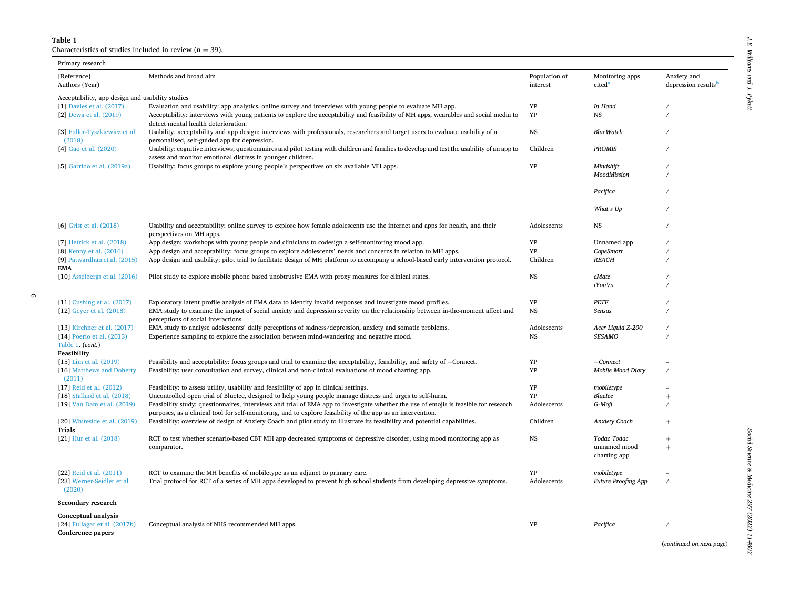#### <span id="page-6-0"></span>**Table 1**

6

Characteristics of studies included in review ( $n = 39$ ).

| Primary research                                                                      |                                                                                                                                                                                                                                                     |                           |                                       |                                                |
|---------------------------------------------------------------------------------------|-----------------------------------------------------------------------------------------------------------------------------------------------------------------------------------------------------------------------------------------------------|---------------------------|---------------------------------------|------------------------------------------------|
| [Reference]<br>Authors (Year)                                                         | Methods and broad aim                                                                                                                                                                                                                               | Population of<br>interest | Monitoring apps<br>cited <sup>a</sup> | Anxiety and<br>depression results <sup>b</sup> |
| Acceptability, app design and usability studies                                       |                                                                                                                                                                                                                                                     |                           |                                       |                                                |
| [1] Davies et al. (2017)                                                              | Evaluation and usability: app analytics, online survey and interviews with young people to evaluate MH app.                                                                                                                                         | YP                        | In Hand                               |                                                |
| [2] Dewa et al. (2019)                                                                | Acceptability: interviews with young patients to explore the acceptability and feasibility of MH apps, wearables and social media to<br>detect mental health deterioration.                                                                         | YP                        | <b>NS</b>                             |                                                |
| [3] Fuller-Tyszkiewicz et al.<br>(2018)                                               | Usability, acceptability and app design: interviews with professionals, researchers and target users to evaluate usability of a<br>personalised, self-guided app for depression.                                                                    | NS                        | <b>BlueWatch</b>                      |                                                |
| [4] Gao et al. (2020)                                                                 | Usability: cognitive interviews, questionnaires and pilot testing with children and families to develop and test the usability of an app to<br>assess and monitor emotional distress in younger children.                                           | Children                  | <b>PROMIS</b>                         |                                                |
| [5] Garrido et al. (2019a)                                                            | Usability: focus groups to explore young people's perspectives on six available MH apps.                                                                                                                                                            | YP                        | Mindshift                             |                                                |
|                                                                                       |                                                                                                                                                                                                                                                     |                           | MoodMission                           |                                                |
|                                                                                       |                                                                                                                                                                                                                                                     |                           | Pacifica                              |                                                |
|                                                                                       |                                                                                                                                                                                                                                                     |                           | What's Up                             |                                                |
| [6] Grist et al. (2018)                                                               | Usability and acceptability: online survey to explore how female adolescents use the internet and apps for health, and their<br>perspectives on MH apps.                                                                                            | Adolescents               | NS                                    |                                                |
| [7] Hetrick et al. (2018)                                                             | App design: workshops with young people and clinicians to codesign a self-monitoring mood app.                                                                                                                                                      | YP                        | Unnamed app                           |                                                |
| [8] Kenny et al. (2016)                                                               | App design and acceptability: focus groups to explore adolescents' needs and concerns in relation to MH apps.                                                                                                                                       | YP                        | CopeSmart                             |                                                |
| [9] Patwardhan et al. (2015)<br><b>EMA</b>                                            | App design and usability: pilot trial to facilitate design of MH platform to accompany a school-based early intervention protocol.                                                                                                                  | Children                  | <b>REACH</b>                          |                                                |
| [10] Asselbergs et al. (2016)                                                         | Pilot study to explore mobile phone based unobtrusive EMA with proxy measures for clinical states.                                                                                                                                                  | $_{NS}$                   | $e$ <i>Mate</i>                       |                                                |
|                                                                                       |                                                                                                                                                                                                                                                     |                           | iYouVu                                |                                                |
| [11] Cushing et al. $(2017)$                                                          | Exploratory latent profile analysis of EMA data to identify invalid responses and investigate mood profiles.                                                                                                                                        | YP                        | PETE                                  |                                                |
| [12] Geyer et al. (2018)                                                              | EMA study to examine the impact of social anxiety and depression severity on the relationship between in-the-moment affect and<br>perceptions of social interactions.                                                                               | $_{NS}$                   | Sensus                                |                                                |
| [13] Kirchner et al. $(2017)$                                                         | EMA study to analyse adolescents' daily perceptions of sadness/depression, anxiety and somatic problems.                                                                                                                                            | Adolescents               | Acer Liquid Z-200                     |                                                |
| [14] Poerio et al. (2013)<br>Table 1. (cont.)<br>Feasibility                          | Experience sampling to explore the association between mind-wandering and negative mood.                                                                                                                                                            | <b>NS</b>                 | <b>SESAMO</b>                         |                                                |
| $[15]$ Lim et al. $(2019)$                                                            | Feasibility and acceptability: focus groups and trial to examine the acceptability, feasibility, and safety of +Connect.                                                                                                                            | YP                        | $+ Connect$                           |                                                |
| [16] Matthews and Doherty<br>(2011)                                                   | Feasibility: user consultation and survey, clinical and non-clinical evaluations of mood charting app.                                                                                                                                              | YP                        | Mobile Mood Diary                     | $\overline{1}$                                 |
| [17] Reid et al. (2012)                                                               | Feasibility: to assess utility, usability and feasibility of app in clinical settings.                                                                                                                                                              | YP                        | mobiletype                            |                                                |
| [18] Stallard et al. (2018)                                                           | Uncontrolled open trial of BlueIce, designed to help young people manage distress and urges to self-harm.                                                                                                                                           | YP                        | BlueIce                               |                                                |
| [19] Van Dam et al. (2019)                                                            | Feasibility study: questionnaires, interviews and trial of EMA app to investigate whether the use of emojis is feasible for research<br>purposes, as a clinical tool for self-monitoring, and to explore feasibility of the app as an intervention. | Adolescents               | G-Moji                                |                                                |
| [20] Whiteside et al. (2019)<br>Trials                                                | Feasibility: overview of design of Anxiety Coach and pilot study to illustrate its feasibility and potential capabilities.                                                                                                                          | Children                  | Anxiety Coach                         |                                                |
| [21] Hur et al. (2018)                                                                | RCT to test whether scenario-based CBT MH app decreased symptoms of depressive disorder, using mood monitoring app as                                                                                                                               | <b>NS</b>                 | Todac Todac                           | $\ddot{}$                                      |
|                                                                                       | comparator.                                                                                                                                                                                                                                         |                           | unnamed mood<br>charting app          | $\ddot{}$                                      |
|                                                                                       |                                                                                                                                                                                                                                                     |                           |                                       |                                                |
| [22] Reid et al. (2011)                                                               | RCT to examine the MH benefits of mobiletype as an adjunct to primary care.                                                                                                                                                                         | YP                        | mobiletype                            |                                                |
| [23] Werner-Seidler et al.<br>(2020)                                                  | Trial protocol for RCT of a series of MH apps developed to prevent high school students from developing depressive symptoms.                                                                                                                        | Adolescents               | <b>Future Proofing App</b>            |                                                |
| Secondary research                                                                    |                                                                                                                                                                                                                                                     |                           |                                       |                                                |
| <b>Conceptual analysis</b><br>[ $24$ ] Fullagar et al. $(2017b)$<br>Conference papers | Conceptual analysis of NHS recommended MH apps.                                                                                                                                                                                                     | YP                        | Pacifica                              |                                                |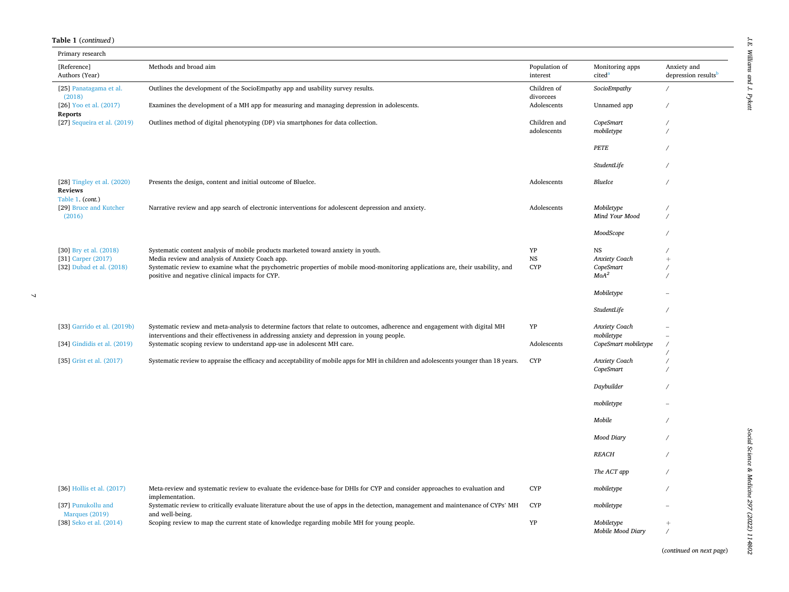#### **Table 1** (*continued* )

 $\bar{\mathcal{A}}$ 

| Primary research                                                 |                                                                                                                                                                                                                           |                           |                                       |                                                |
|------------------------------------------------------------------|---------------------------------------------------------------------------------------------------------------------------------------------------------------------------------------------------------------------------|---------------------------|---------------------------------------|------------------------------------------------|
| [Reference]<br>Authors (Year)                                    | Methods and broad aim                                                                                                                                                                                                     | Population of<br>interest | Monitoring apps<br>cited <sup>a</sup> | Anxiety and<br>depression results <sup>b</sup> |
| [25] Panatagama et al.<br>(2018)                                 | Outlines the development of the SocioEmpathy app and usability survey results.                                                                                                                                            | Children of<br>divorcees  | SocioEmpathy                          |                                                |
| [26] Yoo et al. (2017)<br><b>Reports</b>                         | Examines the development of a MH app for measuring and managing depression in adolescents.                                                                                                                                | Adolescents               | Unnamed app                           |                                                |
| [27] Sequeira et al. (2019)                                      | Outlines method of digital phenotyping (DP) via smartphones for data collection.                                                                                                                                          | Children and              | CopeSmart                             |                                                |
|                                                                  |                                                                                                                                                                                                                           | adolescents               | mobiletype                            |                                                |
|                                                                  |                                                                                                                                                                                                                           |                           | PETE                                  |                                                |
|                                                                  |                                                                                                                                                                                                                           |                           | StudentLife                           |                                                |
| [28] Tingley et al. (2020)<br><b>Reviews</b><br>Table 1. (cont.) | Presents the design, content and initial outcome of BlueIce.                                                                                                                                                              | Adolescents               | BlueIce                               |                                                |
| [29] Bruce and Kutcher                                           | Narrative review and app search of electronic interventions for adolescent depression and anxiety.                                                                                                                        | Adolescents               | Mobiletype                            |                                                |
| (2016)                                                           |                                                                                                                                                                                                                           |                           | Mind Your Mood                        |                                                |
|                                                                  |                                                                                                                                                                                                                           |                           | MoodScope                             |                                                |
| [30] Bry et al. (2018)                                           | Systematic content analysis of mobile products marketed toward anxiety in youth.                                                                                                                                          | YP                        | NS                                    |                                                |
| [31] Carper (2017)                                               | Media review and analysis of Anxiety Coach app.                                                                                                                                                                           | $_{\rm NS}$               | Anxiety Coach                         | $^{+}$                                         |
| [32] Dubad et al. (2018)                                         | Systematic review to examine what the psychometric properties of mobile mood-monitoring applications are, their usability, and                                                                                            | <b>CYP</b>                | CopeSmart<br>MoA <sup>2</sup>         |                                                |
|                                                                  | positive and negative clinical impacts for CYP.                                                                                                                                                                           |                           |                                       |                                                |
|                                                                  |                                                                                                                                                                                                                           |                           | Mobiletype                            |                                                |
|                                                                  |                                                                                                                                                                                                                           |                           | StudentLife                           |                                                |
| [33] Garrido et al. (2019b)                                      | Systematic review and meta-analysis to determine factors that relate to outcomes, adherence and engagement with digital MH<br>interventions and their effectiveness in addressing anxiety and depression in young people. | YP                        | Anxiety Coach<br>mobiletype           |                                                |
| [34] Gindidis et al. (2019)                                      | Systematic scoping review to understand app-use in adolescent MH care.                                                                                                                                                    | Adolescents               | CopeSmart mobiletype                  |                                                |
|                                                                  |                                                                                                                                                                                                                           |                           |                                       |                                                |
| [35] Grist et al. (2017)                                         | Systematic review to appraise the efficacy and acceptability of mobile apps for MH in children and adolescents younger than 18 years.                                                                                     | <b>CYP</b>                | Anxiety Coach                         |                                                |
|                                                                  |                                                                                                                                                                                                                           |                           | CopeSmart                             |                                                |
|                                                                  |                                                                                                                                                                                                                           |                           | Daybuilder                            |                                                |
|                                                                  |                                                                                                                                                                                                                           |                           | mobiletype                            |                                                |
|                                                                  |                                                                                                                                                                                                                           |                           | Mobile                                |                                                |
|                                                                  |                                                                                                                                                                                                                           |                           | Mood Diary                            |                                                |
|                                                                  |                                                                                                                                                                                                                           |                           | <b>REACH</b>                          |                                                |
|                                                                  |                                                                                                                                                                                                                           |                           | The ACT app                           |                                                |
| [36] Hollis et al. (2017)                                        | Meta-review and systematic review to evaluate the evidence-base for DHIs for CYP and consider approaches to evaluation and<br>implementation.                                                                             | <b>CYP</b>                | mobiletype                            |                                                |
| [37] Punukollu and<br>Marques (2019)                             | Systematic review to critically evaluate literature about the use of apps in the detection, management and maintenance of CYPs' MH<br>and well-being.                                                                     | <b>CYP</b>                | mobiletype                            |                                                |
| [38] Seko et al. (2014)                                          | Scoping review to map the current state of knowledge regarding mobile MH for young people.                                                                                                                                | ${\bf Y}{\bf P}$          | Mobiletype<br>Mobile Mood Diary       |                                                |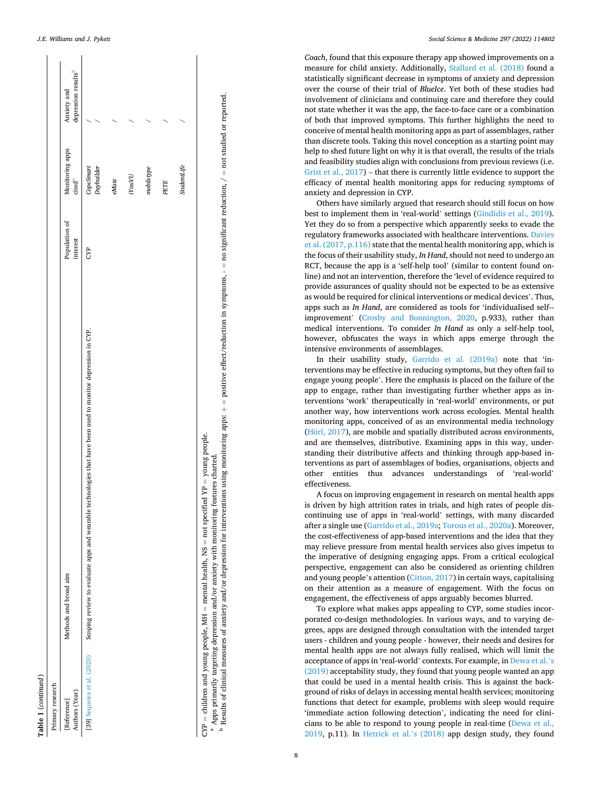<span id="page-8-0"></span>

| Primary research              |                                                                                                                                                                                           |                           |                                      |                                                |
|-------------------------------|-------------------------------------------------------------------------------------------------------------------------------------------------------------------------------------------|---------------------------|--------------------------------------|------------------------------------------------|
| Authors (Year)<br>[Reference] | Methods and broad aim                                                                                                                                                                     | Population of<br>interest | Monitoring apps<br>cted <sup>a</sup> | depression results <sup>b</sup><br>Anxiety and |
| [39] Sequeira et al. (2020)   | Scoping review to evaluate apps and wearable technologies that have been used to monitor depression in CYP.                                                                               | E                         | Daybuilder<br>CopeSmart              |                                                |
|                               |                                                                                                                                                                                           |                           | $e$ Mate                             |                                                |
|                               |                                                                                                                                                                                           |                           | iYouVU                               |                                                |
|                               |                                                                                                                                                                                           |                           | $\it mobileype$                      |                                                |
|                               |                                                                                                                                                                                           |                           | PETE                                 |                                                |
|                               |                                                                                                                                                                                           |                           | <b>StudentLife</b>                   |                                                |
|                               | $CYP =$ children and young people, MH = mental health, NS = not specified YP = young people.<br>$^a$ Apps primarily targeting depression and/or anxiety with monitoring features charted. |                           |                                      |                                                |

**Table** 

**1** (*continued* )

 $^{\text{a}}$  Apps primarily targeting depression and/or anxiety with monitoring features charted.<br><sup>b</sup> Results of clinical measures of anxiety and/or depression for interventions using monitoring apps:

+  $=$  positive effect/reduction in symptoms,  $-$  no significant reduction,  $/$  = not studied or reported. *Social Science & Medicine 297 (2022) 114802*

*Coach*, found that this exposure therapy app showed improvements on a measure for child anxiety. Additionally, [Stallard et al. \(2018\)](#page-15-0) found a statistically significant decrease in symptoms of anxiety and depression over the course of their trial of *BlueIce*. Yet both of these studies had involvement of clinicians and continuing care and therefore they could not state whether it was the app, the face-to-face care or a combination of both that improved symptoms. This further highlights the need to conceive of mental health monitoring apps as part of assemblages, rather than discrete tools. Taking this novel conception as a starting point may help to shed future light on why it is that overall, the results of the trials and feasibility studies align with conclusions from previous reviews (i.e. [Grist et al., 2017\)](#page-14-0) – that there is currently little evidence to support the efficacy of mental health monitoring apps for reducing symptoms of anxiety and depression in CYP.

Others have similarly argued that research should still focus on how best to implement them in 'real-world' settings ([Gindidis et al., 2019](#page-14-0)). Yet they do so from a perspective which apparently seeks to evade the regulatory frameworks associated with healthcare interventions. [Davies](#page-13-0)  [et al. \(2017, p.116\)](#page-13-0) state that the mental health monitoring app, which is the focus of their usability study, *In Hand*, should not need to undergo an RCT, because the app is a 'self-help tool' (similar to content found online) and not an intervention, therefore the 'level of evidence required to provide assurances of quality should not be expected to be as extensive as would be required for clinical interventions or medical devices'. Thus, apps such as *In Hand*, are considered as tools for 'individualised self-improvement' [\(Crosby and Bonnington, 2020,](#page-13-0) p.933), rather than medical interventions. To consider *In Hand* as only a self-help tool, however, obfuscates the ways in which apps emerge through the intensive environments of assemblages.

In their usability study, [Garrido et al. \(2019a\)](#page-14-0) note that 'interventions may be effective in reducing symptoms, but they often fail to engage young people'. Here the emphasis is placed on the failure of the app to engage, rather than investigating further whether apps as interventions 'work' therapeutically in 'real-world' environments, or put another way, how interventions work across ecologies. Mental health monitoring apps, conceived of as an environmental media technology (Hörl, 2017), are mobile and spatially distributed across environments, and are themselves, distributive. Examining apps in this way, understanding their distributive affects and thinking through app-based interventions as part of assemblages of bodies, organisations, objects and other entities thus advances understandings of 'real-world' effectiveness.

A focus on improving engagement in research on mental health apps is driven by high attrition rates in trials, and high rates of people discontinuing use of apps in 'real-world' settings, with many discarded after a single use [\(Garrido et al., 2019a](#page-14-0); [Torous et al., 2020a](#page-15-0)). Moreover, the cost-effectiveness of app-based interventions and the idea that they may relieve pressure from mental health services also gives impetus to the imperative of designing engaging apps. From a critical ecological perspective, engagement can also be considered as orienting children and young people's attention [\(Citton, 2017](#page-13-0)) in certain ways, capitalising on their attention as a measure of engagement. With the focus on engagement, the effectiveness of apps arguably becomes blurred.

To explore what makes apps appealing to CYP, some studies incorporated co-design methodologies. In various ways, and to varying degrees, apps are designed through consultation with the intended target users - children and young people - however, their needs and desires for mental health apps are not always fully realised, which will limit the acceptance of apps in 'real-world' contexts. For example, in [Dewa et al.](#page-13-0)'s [\(2019\)](#page-13-0) acceptability study, they found that young people wanted an app that could be used in a mental health crisis. This is against the background of risks of delays in accessing mental health services; monitoring functions that detect for example, problems with sleep would require 'immediate action following detection', indicating the need for clinicians to be able to respond to young people in real-time ([Dewa et al.,](#page-13-0)  [2019,](#page-13-0) p.11). In [Hetrick et al.](#page-14-0)'s (2018) app design study, they found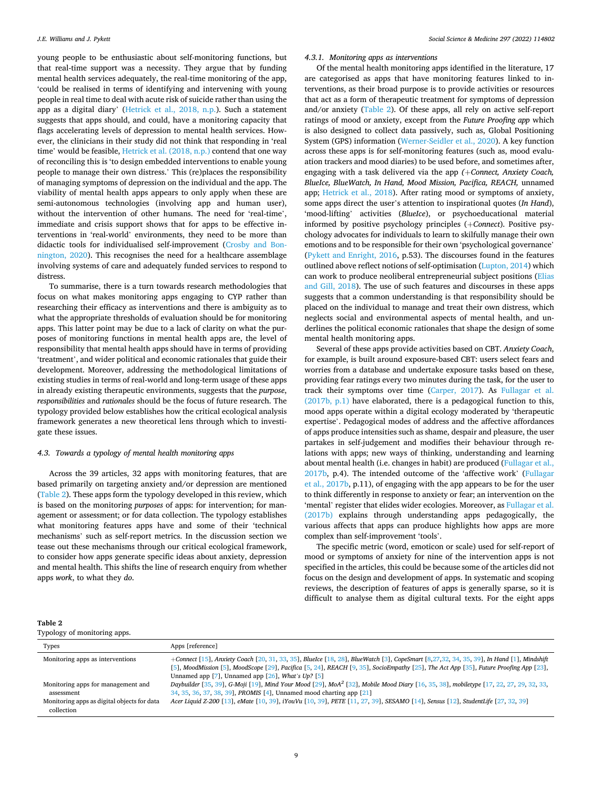<span id="page-9-0"></span>young people to be enthusiastic about self-monitoring functions, but that real-time support was a necessity. They argue that by funding mental health services adequately, the real-time monitoring of the app, 'could be realised in terms of identifying and intervening with young people in real time to deal with acute risk of suicide rather than using the app as a digital diary' [\(Hetrick et al., 2018, n.p.](#page-14-0)). Such a statement suggests that apps should, and could, have a monitoring capacity that flags accelerating levels of depression to mental health services. However, the clinicians in their study did not think that responding in 'real time' would be feasible, [Hetrick et al. \(2018, n.p.\)](#page-14-0) contend that one way of reconciling this is 'to design embedded interventions to enable young people to manage their own distress.' This (re)places the responsibility of managing symptoms of depression on the individual and the app. The viability of mental health apps appears to only apply when these are semi-autonomous technologies (involving app and human user), without the intervention of other humans. The need for 'real-time', immediate and crisis support shows that for apps to be effective interventions in 'real-world' environments, they need to be more than didactic tools for individualised self-improvement [\(Crosby and Bon](#page-13-0)[nington, 2020](#page-13-0)). This recognises the need for a healthcare assemblage involving systems of care and adequately funded services to respond to distress.

To summarise, there is a turn towards research methodologies that focus on what makes monitoring apps engaging to CYP rather than researching their efficacy as interventions and there is ambiguity as to what the appropriate thresholds of evaluation should be for monitoring apps. This latter point may be due to a lack of clarity on what the purposes of monitoring functions in mental health apps are, the level of responsibility that mental health apps should have in terms of providing 'treatment', and wider political and economic rationales that guide their development. Moreover, addressing the methodological limitations of existing studies in terms of real-world and long-term usage of these apps in already existing therapeutic environments, suggests that the *purpose*, *responsibilities* and *rationales* should be the focus of future research. The typology provided below establishes how the critical ecological analysis framework generates a new theoretical lens through which to investigate these issues.

#### *4.3. Towards a typology of mental health monitoring apps*

Across the 39 articles, 32 apps with monitoring features, that are based primarily on targeting anxiety and/or depression are mentioned (Table 2). These apps form the typology developed in this review, which is based on the monitoring *purposes* of apps: for intervention; for management or assessment; or for data collection. The typology establishes what monitoring features apps have and some of their 'technical mechanisms' such as self-report metrics. In the discussion section we tease out these mechanisms through our critical ecological framework, to consider how apps generate specific ideas about anxiety, depression and mental health. This shifts the line of research enquiry from whether apps *work*, to what they *do*.

#### *4.3.1. Monitoring apps as interventions*

Of the mental health monitoring apps identified in the literature, 17 are categorised as apps that have monitoring features linked to interventions, as their broad purpose is to provide activities or resources that act as a form of therapeutic treatment for symptoms of depression and/or anxiety (Table 2). Of these apps, all rely on active self-report ratings of mood or anxiety, except from the *Future Proofing app* which is also designed to collect data passively, such as, Global Positioning System (GPS) information [\(Werner-Seidler et al., 2020\)](#page-15-0). A key function across these apps is for self-monitoring features (such as, mood evaluation trackers and mood diaries) to be used before, and sometimes after, engaging with a task delivered via the app (+Connect, Anxiety Coach, *BlueIce, BlueWatch, In Hand, Mood Mission, Pacifica, REACH,* unnamed app; [Hetrick et al., 2018](#page-14-0)). After rating mood or symptoms of anxiety, some apps direct the user's attention to inspirational quotes (*In Hand*), 'mood-lifting' activities (*BlueIce*), or psychoeducational material informed by positive psychology principles (+*Connect*). Positive psychology advocates for individuals to learn to skilfully manage their own emotions and to be responsible for their own 'psychological governance' ([Pykett and Enright, 2016,](#page-14-0) p.53). The discourses found in the features outlined above reflect notions of self-optimisation ([Lupton, 2014](#page-14-0)) which can work to produce neoliberal entrepreneurial subject positions [\(Elias](#page-14-0)  [and Gill, 2018](#page-14-0)). The use of such features and discourses in these apps suggests that a common understanding is that responsibility should be placed on the individual to manage and treat their own distress, which neglects social and environmental aspects of mental health, and underlines the political economic rationales that shape the design of some mental health monitoring apps.

Several of these apps provide activities based on CBT. *Anxiety Coach*, for example, is built around exposure-based CBT: users select fears and worries from a database and undertake exposure tasks based on these, providing fear ratings every two minutes during the task, for the user to track their symptoms over time [\(Carper, 2017\)](#page-13-0). As [Fullagar et al.](#page-14-0)  [\(2017b, p.1\)](#page-14-0) have elaborated, there is a pedagogical function to this, mood apps operate within a digital ecology moderated by 'therapeutic expertise'. Pedagogical modes of address and the affective affordances of apps produce intensities such as shame, despair and pleasure, the user partakes in self-judgement and modifies their behaviour through relations with apps; new ways of thinking, understanding and learning about mental health (i.e. changes in habit) are produced [\(Fullagar et al.,](#page-14-0)  [2017b,](#page-14-0) p.4). The intended outcome of the 'affective work' ([Fullagar](#page-14-0)  [et al., 2017b,](#page-14-0) p.11), of engaging with the app appears to be for the user to think differently in response to anxiety or fear; an intervention on the 'mental' register that elides wider ecologies. Moreover, as [Fullagar et al.](#page-14-0)  [\(2017b\)](#page-14-0) explains through understanding apps pedagogically, the various affects that apps can produce highlights how apps are more complex than self-improvement 'tools'.

The specific metric (word, emoticon or scale) used for self-report of mood or symptoms of anxiety for nine of the intervention apps is not specified in the articles, this could be because some of the articles did not focus on the design and development of apps. In systematic and scoping reviews, the description of features of apps is generally sparse, so it is difficult to analyse them as digital cultural texts. For the eight apps

| ۰.<br>×<br>w<br>۰. |  |
|--------------------|--|
|--------------------|--|

Typology of monitoring apps.

| ι γροιοχγ οι πισπιστιπχ αρρο.                             |                                                                                                                                                                                                                                                                                                                                                 |
|-----------------------------------------------------------|-------------------------------------------------------------------------------------------------------------------------------------------------------------------------------------------------------------------------------------------------------------------------------------------------------------------------------------------------|
| Types                                                     | Apps [reference]                                                                                                                                                                                                                                                                                                                                |
| Monitoring apps as interventions                          | +Connect [15], Anxiety Coach [20, 31, 33, 35], BlueIce [18, 28], BlueWatch [3], CopeSmart [8, 27, 32, 34, 35, 39], In Hand [1], Mindshift<br>[5], MoodMission [5], MoodScope [29], Pacifica [5, 24], REACH [9, 35], SocioEmpathy [25], The Act App [35], Future Proofing App [23],<br>Unnamed app $[7]$ , Unnamed app $[26]$ , What's Up? $[5]$ |
| Monitoring apps for management and<br>assessment          | Daybuilder [35, 39], G-Moji [19], Mind Your Mood [29], MoA <sup>2</sup> [32], Mobile Mood Diary [16, 35, 38], mobiletype [17, 22, 27, 29, 32, 33,<br>34, 35, 36, 37, 38, 39], PROMIS [4], Unnamed mood charting app [21]                                                                                                                        |
| Monitoring apps as digital objects for data<br>collection | Acer Liquid Z-200 [13], eMate [10, 39], iYouVu [10, 39], PETE [11, 27, 39], SESAMO [14], Sensus [12], StudentLife [27, 32, 39]                                                                                                                                                                                                                  |
|                                                           |                                                                                                                                                                                                                                                                                                                                                 |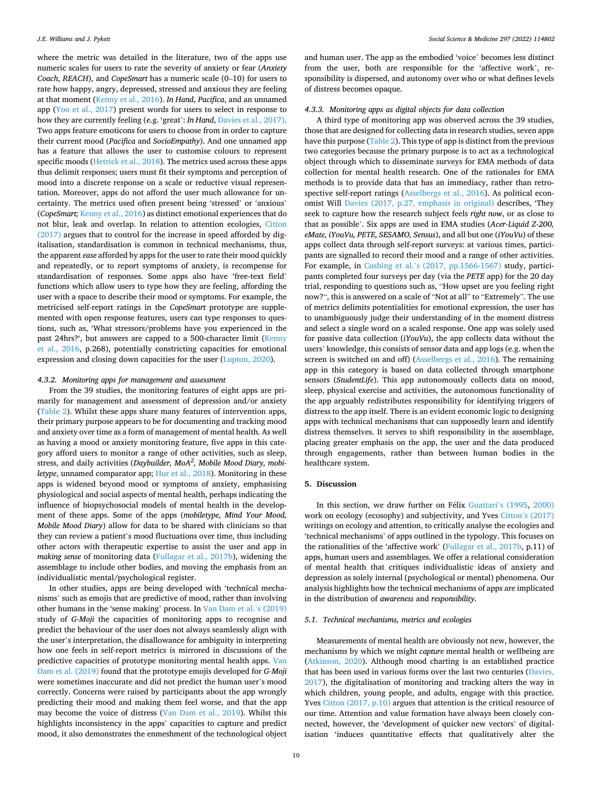where the metric was detailed in the literature, two of the apps use numeric scales for users to rate the severity of anxiety or fear (*Anxiety Coach*, *REACH*), and *CopeSmart* has a numeric scale (0–10) for users to rate how happy, angry, depressed, stressed and anxious they are feeling at that moment ([Kenny et al., 2016\)](#page-14-0). *In Hand*, *Pacifica*, and an unnamed app [\(Yoo et al., 2017\)](#page-15-0) present words for users to select in response to how they are currently feeling (e.g. 'great': *In Hand*, [Davies et al., 2017\)](#page-13-0). Two apps feature emoticons for users to choose from in order to capture their current mood (*Pacifica* and *SocioEmpathy*). And one unnamed app has a feature that allows the user to customise colours to represent specific moods ([Hetrick et al., 2018\)](#page-14-0). The metrics used across these apps thus delimit responses; users must fit their symptoms and perception of mood into a discrete response on a scale or reductive visual representation. Moreover, apps do not afford the user much allowance for uncertainty. The metrics used often present being 'stressed' or 'anxious' (*CopeSmart;* [Kenny et al., 2016](#page-14-0)) as distinct emotional experiences that do not blur, leak and overlap. In relation to attention ecologies, [Citton](#page-13-0)  [\(2017\)](#page-13-0) argues that to control for the increase in speed afforded by digitalisation, standardisation is common in technical mechanisms, thus, the apparent *ease* afforded by apps for the user to rate their mood quickly and repeatedly, or to report symptoms of anxiety, is recompense for standardisation of responses. Some apps also have 'free-text field' functions which allow users to type how they are feeling, affording the user with a space to describe their mood or symptoms. For example, the metricised self-report ratings in the *CopeSmart* prototype are supplemented with open response features, users can type responses to questions, such as, 'What stressors/problems have you experienced in the past 24hrs?', but answers are capped to a 500-character limit [\(Kenny](#page-14-0)  [et al., 2016](#page-14-0), p.268), potentially constricting capacities for emotional expression and closing down capacities for the user ([Lupton, 2020](#page-14-0)).

#### *4.3.2. Monitoring apps for management and assessment*

From the 39 studies, the monitoring features of eight apps are primarily for management and assessment of depression and/or anxiety ([Table 2](#page-9-0)). Whilst these apps share many features of intervention apps, their primary purpose appears to be for documenting and tracking mood and anxiety over time as a form of management of mental health. As well as having a mood or anxiety monitoring feature, five apps in this category afford users to monitor a range of other activities, such as sleep, stress, and daily activities (*Daybuilder, MoA<sup>2</sup> , Mobile Mood Diary, mobiletype*, unnamed comparator app; [Hur et al., 2018](#page-14-0)). Monitoring in these apps is widened beyond mood or symptoms of anxiety, emphasising physiological and social aspects of mental health, perhaps indicating the influence of biopsychosocial models of mental health in the development of these apps. Some of the apps (*mobiletype, Mind Your Mood, Mobile Mood Diary*) allow for data to be shared with clinicians so that they can review a patient's mood fluctuations over time, thus including other actors with therapeutic expertise to assist the user and app in *making sense* of monitoring data [\(Fullagar et al., 2017b](#page-14-0)), widening the assemblage to include other bodies, and moving the emphasis from an individualistic mental/psychological register.

In other studies, apps are being developed with 'technical mechanisms' such as emojis that are predictive of mood, rather than involving other humans in the 'sense making' process. In [Van Dam et al.](#page-15-0)'s (2019) study of *G-Moji* the capacities of monitoring apps to recognise and predict the behaviour of the user does not always seamlessly align with the user's interpretation, the disallowance for ambiguity in interpreting how one feels in self-report metrics is mirrored in discussions of the predictive capacities of prototype monitoring mental health apps. [Van](#page-15-0)  [Dam et al. \(2019\)](#page-15-0) found that the prototype emojis developed for *G-Moji*  were sometimes inaccurate and did not predict the human user's mood correctly. Concerns were raised by participants about the app wrongly predicting their mood and making them feel worse, and that the app may become the voice of distress ([Van Dam et al., 2019\)](#page-15-0). Whilst this highlights inconsistency in the apps' capacities to capture and predict mood, it also demonstrates the enmeshment of the technological object

and human user. The app as the embodied 'voice' becomes less distinct from the user, both are responsible for the 'affective work', responsibility is dispersed, and autonomy over who or what defines levels of distress becomes opaque.

#### *4.3.3. Monitoring apps as digital objects for data collection*

A third type of monitoring app was observed across the 39 studies, those that are designed for collecting data in research studies, seven apps have this purpose [\(Table 2\)](#page-9-0). This type of app is distinct from the previous two categories because the primary purpose is to act as a technological object through which to disseminate surveys for EMA methods of data collection for mental health research. One of the rationales for EMA methods is to provide data that has an immediacy, rather than retrospective self-report ratings ([Asselbergs et al., 2016\)](#page-13-0). As political economist Will [Davies \(2017, p.27, emphasis in original\)](#page-13-0) describes, 'They seek to capture how the research subject feels *right now*, or as close to that as possible'. Six apps are used in EMA studies (*Acer-Liquid Z-200, eMate, iYouVu, PETE, SESAMO, Sensus*), and all but one (*iYouVu*) of these apps collect data through self-report surveys: at various times, participants are signalled to record their mood and a range of other activities. For example, in Cushing et al.'[s \(2017, pp.1566-1567\)](#page-13-0) study, participants completed four surveys per day (via the *PETE* app) for the 20 day trial, responding to questions such as, "How upset are you feeling right now?", this is answered on a scale of "Not at all" to "Extremely". The use of metrics delimits potentialities for emotional expression, the user has to unambiguously judge their understanding of in the moment distress and select a single word on a scaled response. One app was solely used for passive data collection (*iYouVu*), the app collects data without the users' knowledge, this consists of sensor data and app logs (e.g. when the screen is switched on and off) [\(Asselbergs et al., 2016](#page-13-0)). The remaining app in this category is based on data collected through smartphone sensors (*StudentLife*). This app autonomously collects data on mood, sleep, physical exercise and activities, the autonomous functionality of the app arguably redistributes responsibility for identifying triggers of distress to the app itself. There is an evident economic logic to designing apps with technical mechanisms that can supposedly learn and identify distress themselves. It serves to shift responsibility in the assemblage, placing greater emphasis on the app, the user and the data produced through engagements, rather than between human bodies in the healthcare system.

#### **5. Discussion**

In this section, we draw further on Félix [Guattari](#page-14-0)'s (1995, 2000) work on ecology (ecosophy) and subjectivity, and Yves Citton'[s \(2017\)](#page-13-0)  writings on ecology and attention, to critically analyse the ecologies and 'technical mechanisms' of apps outlined in the typology. This focuses on the rationalities of the 'affective work' ([Fullagar et al., 2017b,](#page-14-0) p.11) of apps, human users and assemblages. We offer a relational consideration of mental health that critiques individualistic ideas of anxiety and depression as solely internal (psychological or mental) phenomena. Our analysis highlights how the technical mechanisms of apps are implicated in the distribution of *awareness* and *responsibility*.

#### *5.1. Technical mechanisms, metrics and ecologies*

Measurements of mental health are obviously not new, however, the mechanisms by which we might *capture* mental health or wellbeing are ([Atkinson, 2020\)](#page-13-0). Although mood charting is an established practice that has been used in various forms over the last two centuries [\(Davies,](#page-13-0)  [2017\)](#page-13-0), the digitalisation of monitoring and tracking alters the way in which children, young people, and adults, engage with this practice. Yves [Citton \(2017, p.10\)](#page-13-0) argues that attention is the critical resource of our time. Attention and value formation have always been closely connected, however, the 'development of quicker new vectors' of digitalisation 'induces quantitative effects that qualitatively alter the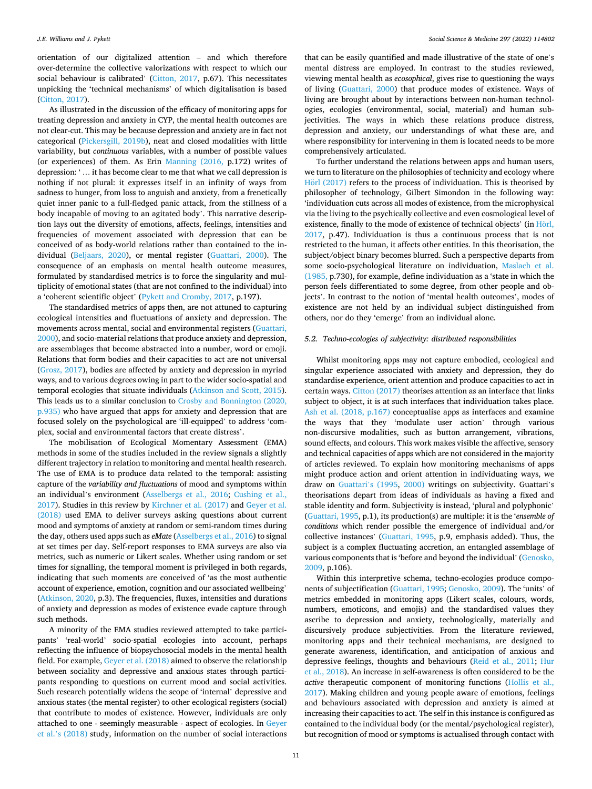orientation of our digitalized attention – and which therefore over-determine the collective valorizations with respect to which our social behaviour is calibrated' ([Citton, 2017,](#page-13-0) p.67). This necessitates unpicking the 'technical mechanisms' of which digitalisation is based ([Citton, 2017\)](#page-13-0).

As illustrated in the discussion of the efficacy of monitoring apps for treating depression and anxiety in CYP, the mental health outcomes are not clear-cut. This may be because depression and anxiety are in fact not categorical [\(Pickersgill, 2019b](#page-14-0)), neat and closed modalities with little variability, but *continuous* variables, with a number of possible values (or experiences) of them. As Erin [Manning \(2016,](#page-14-0) p.172) writes of depression: ' … it has become clear to me that what we call depression is nothing if not plural: it expresses itself in an infinity of ways from sadness to hunger, from loss to anguish and anxiety, from a frenetically quiet inner panic to a full-fledged panic attack, from the stillness of a body incapable of moving to an agitated body'. This narrative description lays out the diversity of emotions, affects, feelings, intensities and frequencies of movement associated with depression that can be conceived of as body-world relations rather than contained to the individual [\(Beljaars, 2020\)](#page-13-0), or mental register ([Guattari, 2000\)](#page-14-0). The consequence of an emphasis on mental health outcome measures, formulated by standardised metrics is to force the singularity and multiplicity of emotional states (that are not confined to the individual) into a 'coherent scientific object' ([Pykett and Cromby, 2017](#page-14-0), p.197).

The standardised metrics of apps then, are not attuned to capturing ecological intensities and fluctuations of anxiety and depression. The movements across mental, social and environmental registers [\(Guattari,](#page-14-0)  [2000\)](#page-14-0), and socio-material relations that produce anxiety and depression, are assemblages that become abstracted into a number, word or emoji. Relations that form bodies and their capacities to act are not universal ([Grosz, 2017](#page-14-0)), bodies are affected by anxiety and depression in myriad ways, and to various degrees owing in part to the wider socio-spatial and temporal ecologies that situate individuals ([Atkinson and Scott, 2015](#page-13-0)). This leads us to a similar conclusion to [Crosby and Bonnington \(2020,](#page-13-0)  [p.935\)](#page-13-0) who have argued that apps for anxiety and depression that are focused solely on the psychological are 'ill-equipped' to address 'complex, social and environmental factors that create distress'.

The mobilisation of Ecological Momentary Assessment (EMA) methods in some of the studies included in the review signals a slightly different trajectory in relation to monitoring and mental health research. The use of EMA is to produce data related to the temporal: assisting capture of the *variability and fluctuations* of mood and symptoms within an individual's environment ([Asselbergs et al., 2016;](#page-13-0) [Cushing et al.,](#page-13-0)  [2017\)](#page-13-0). Studies in this review by [Kirchner et al. \(2017\)](#page-14-0) and [Geyer et al.](#page-14-0)  [\(2018\)](#page-14-0) used EMA to deliver surveys asking questions about current mood and symptoms of anxiety at random or semi-random times during the day, others used apps such as *eMate* ([Asselbergs et al., 2016\)](#page-13-0) to signal at set times per day. Self-report responses to EMA surveys are also via metrics, such as numeric or Likert scales. Whether using random or set times for signalling, the temporal moment is privileged in both regards, indicating that such moments are conceived of 'as the most authentic account of experience, emotion, cognition and our associated wellbeing' ([Atkinson, 2020](#page-13-0), p.3). The frequencies, fluxes, intensities and durations of anxiety and depression as modes of existence evade capture through such methods.

A minority of the EMA studies reviewed attempted to take participants' 'real-world' socio-spatial ecologies into account, perhaps reflecting the influence of biopsychosocial models in the mental health field. For example, [Geyer et al. \(2018\)](#page-14-0) aimed to observe the relationship between sociality and depressive and anxious states through participants responding to questions on current mood and social activities. Such research potentially widens the scope of 'internal' depressive and anxious states (the mental register) to other ecological registers (social) that contribute to modes of existence. However, individuals are only attached to one - seemingly measurable - aspect of ecologies. In [Geyer](#page-14-0)  et al.'[s \(2018\)](#page-14-0) study, information on the number of social interactions

that can be easily quantified and made illustrative of the state of one's mental distress are employed. In contrast to the studies reviewed, viewing mental health as *ecosophical*, gives rise to questioning the ways of living ([Guattari, 2000\)](#page-14-0) that produce modes of existence. Ways of living are brought about by interactions between non-human technologies, ecologies (environmental, social, material) and human subjectivities. The ways in which these relations produce distress, depression and anxiety, our understandings of what these are, and where responsibility for intervening in them is located needs to be more comprehensively articulated.

To further understand the relations between apps and human users, we turn to literature on the philosophies of technicity and ecology where Hörl [\(2017\)](#page-14-0) refers to the process of individuation. This is theorised by philosopher of technology, Gilbert Simondon in the following way: 'individuation cuts across all modes of existence, from the microphysical via the living to the psychically collective and even cosmological level of existence, finally to the mode of existence of technical objects' (in  $H\ddot{o}rl$ ) [2017,](#page-14-0) p.47). Individuation is thus a continuous process that is not restricted to the human, it affects other entities. In this theorisation, the subject/object binary becomes blurred. Such a perspective departs from some socio-psychological literature on individuation, [Maslach et al.](#page-14-0)  [\(1985,](#page-14-0) p.730), for example, define individuation as a 'state in which the person feels differentiated to some degree, from other people and objects'. In contrast to the notion of 'mental health outcomes', modes of existence are not held by an individual subject distinguished from others, nor do they 'emerge' from an individual alone.

#### *5.2. Techno-ecologies of subjectivity: distributed responsibilities*

Whilst monitoring apps may not capture embodied, ecological and singular experience associated with anxiety and depression, they do standardise experience, orient attention and produce capacities to act in certain ways. [Citton \(2017\)](#page-13-0) theorises attention as an interface that links subject to object, it is at such interfaces that individuation takes place. [Ash et al. \(2018, p.167\)](#page-13-0) conceptualise apps as interfaces and examine the ways that they 'modulate user action' through various non-discursive modalities, such as button arrangement, vibrations, sound effects, and colours. This work makes visible the affective, sensory and technical capacities of apps which are not considered in the majority of articles reviewed. To explain how monitoring mechanisms of apps might produce action and orient attention in individuating ways, we draw on [Guattari](#page-14-0)'s (1995, [2000\)](#page-14-0) writings on subjectivity. Guattari's theorisations depart from ideas of individuals as having a fixed and stable identity and form. Subjectivity is instead, 'plural and polyphonic' ([Guattari, 1995,](#page-14-0) p.1), its production(s) are multiple: it is the '*ensemble of conditions* which render possible the emergence of individual and/or collective instances' [\(Guattari, 1995,](#page-14-0) p.9, emphasis added). Thus, the subject is a complex fluctuating accretion, an entangled assemblage of various components that is 'before and beyond the individual' [\(Genosko,](#page-14-0)  [2009,](#page-14-0) p.106).

Within this interpretive schema, techno-ecologies produce components of subjectification ([Guattari, 1995](#page-14-0); [Genosko, 2009\)](#page-14-0). The 'units' of metrics embedded in monitoring apps (Likert scales, colours, words, numbers, emoticons, and emojis) and the standardised values they ascribe to depression and anxiety, technologically, materially and discursively produce subjectivities. From the literature reviewed, monitoring apps and their technical mechanisms, are designed to generate awareness, identification, and anticipation of anxious and depressive feelings, thoughts and behaviours [\(Reid et al., 2011](#page-14-0); [Hur](#page-14-0)  [et al., 2018](#page-14-0)). An increase in self-awareness is often considered to be the *active* therapeutic component of monitoring functions [\(Hollis et al.,](#page-14-0)  [2017\)](#page-14-0). Making children and young people aware of emotions, feelings and behaviours associated with depression and anxiety is aimed at increasing their capacities to act. The self in this instance is configured as contained to the individual body (or the mental/psychological register), but recognition of mood or symptoms is actualised through contact with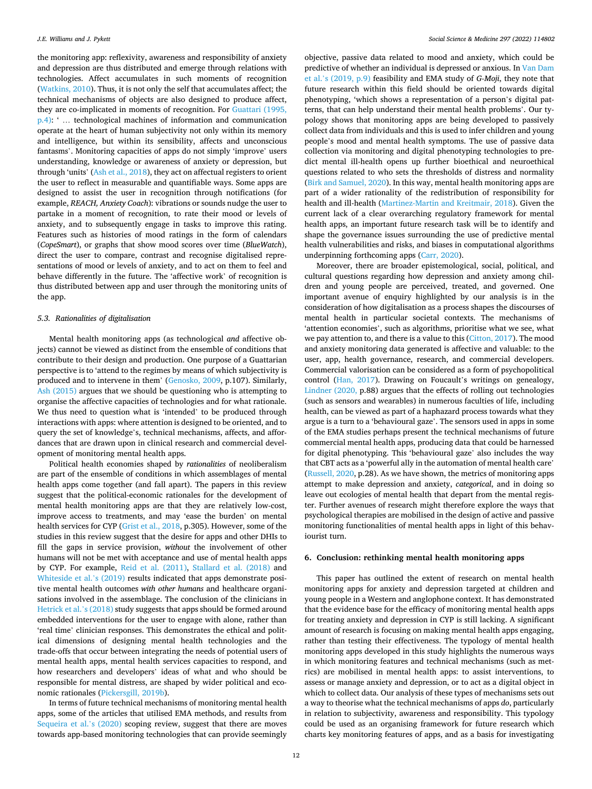the monitoring app: reflexivity, awareness and responsibility of anxiety and depression are thus distributed and emerge through relations with technologies. Affect accumulates in such moments of recognition ([Watkins, 2010](#page-15-0)). Thus, it is not only the self that accumulates affect; the technical mechanisms of objects are also designed to produce affect, they are co-implicated in moments of recognition. For [Guattari \(1995,](#page-14-0)  [p.4\):](#page-14-0) ' … technological machines of information and communication operate at the heart of human subjectivity not only within its memory and intelligence, but within its sensibility, affects and unconscious fantasms'. Monitoring capacities of apps do not simply 'improve' users understanding, knowledge or awareness of anxiety or depression, but through 'units' [\(Ash et al., 2018](#page-13-0)), they act on affectual registers to orient the user to reflect in measurable and quantifiable ways. Some apps are designed to assist the user in recognition through notifications (for example, *REACH, Anxiety Coach*): vibrations or sounds nudge the user to partake in a moment of recognition, to rate their mood or levels of anxiety, and to subsequently engage in tasks to improve this rating. Features such as histories of mood ratings in the form of calendars (*CopeSmart*), or graphs that show mood scores over time (*BlueWatch*), direct the user to compare, contrast and recognise digitalised representations of mood or levels of anxiety, and to act on them to feel and behave differently in the future. The 'affective work' of recognition is thus distributed between app and user through the monitoring units of the app.

#### *5.3. Rationalities of digitalisation*

Mental health monitoring apps (as technological *and* affective objects) cannot be viewed as distinct from the ensemble of conditions that contribute to their design and production. One purpose of a Guattarian perspective is to 'attend to the regimes by means of which subjectivity is produced and to intervene in them' [\(Genosko, 2009](#page-14-0), p.107). Similarly, [Ash \(2015\)](#page-13-0) argues that we should be questioning who is attempting to organise the affective capacities of technologies and for what rationale. We thus need to question what is 'intended' to be produced through interactions with apps: where attention is designed to be oriented, and to query the set of knowledge's, technical mechanisms, affects, and affordances that are drawn upon in clinical research and commercial development of monitoring mental health apps.

Political health economies shaped by *rationalities* of neoliberalism are part of the ensemble of conditions in which assemblages of mental health apps come together (and fall apart). The papers in this review suggest that the political-economic rationales for the development of mental health monitoring apps are that they are relatively low-cost, improve access to treatments, and may 'ease the burden' on mental health services for CYP ([Grist et al., 2018](#page-14-0), p.305). However, some of the studies in this review suggest that the desire for apps and other DHIs to fill the gaps in service provision, *without* the involvement of other humans will not be met with acceptance and use of mental health apps by CYP. For example, [Reid et al. \(2011\)](#page-14-0), [Stallard et al. \(2018\)](#page-15-0) and [Whiteside et al.](#page-15-0)'s (2019) results indicated that apps demonstrate positive mental health outcomes *with other humans* and healthcare organisations involved in the assemblage. The conclusion of the clinicians in [Hetrick et al.](#page-14-0)'s (2018) study suggests that apps should be formed around embedded interventions for the user to engage with alone, rather than 'real time' clinician responses. This demonstrates the ethical and political dimensions of designing mental health technologies and the trade-offs that occur between integrating the needs of potential users of mental health apps, mental health services capacities to respond, and how researchers and developers' ideas of what and who should be responsible for mental distress, are shaped by wider political and economic rationales ([Pickersgill, 2019b](#page-14-0)).

In terms of future technical mechanisms of monitoring mental health apps, some of the articles that utilised EMA methods, and results from [Sequeira et al.](#page-15-0)'s (2020) scoping review, suggest that there are moves towards app-based monitoring technologies that can provide seemingly objective, passive data related to mood and anxiety, which could be predictive of whether an individual is depressed or anxious. In [Van Dam](#page-15-0)  et al.'[s \(2019, p.9\)](#page-15-0) feasibility and EMA study of *G-Moji*, they note that future research within this field should be oriented towards digital phenotyping, 'which shows a representation of a person's digital patterns, that can help understand their mental health problems'. Our typology shows that monitoring apps are being developed to passively collect data from individuals and this is used to infer children and young people's mood and mental health symptoms. The use of passive data collection via monitoring and digital phenotyping technologies to predict mental ill-health opens up further bioethical and neuroethical questions related to who sets the thresholds of distress and normality ([Birk and Samuel, 2020\)](#page-13-0). In this way, mental health monitoring apps are part of a wider rationality of the redistribution of responsibility for health and ill-health ([Martinez-Martin and Kreitmair, 2018\)](#page-14-0). Given the current lack of a clear overarching regulatory framework for mental health apps, an important future research task will be to identify and shape the governance issues surrounding the use of predictive mental health vulnerabilities and risks, and biases in computational algorithms underpinning forthcoming apps ([Carr, 2020\)](#page-13-0).

Moreover, there are broader epistemological, social, political, and cultural questions regarding how depression and anxiety among children and young people are perceived, treated, and governed. One important avenue of enquiry highlighted by our analysis is in the consideration of how digitalisation as a process shapes the discourses of mental health in particular societal contexts. The mechanisms of 'attention economies', such as algorithms, prioritise what we see, what we pay attention to, and there is a value to this [\(Citton, 2017\)](#page-13-0). The mood and anxiety monitoring data generated is affective and valuable: to the user, app, health governance, research, and commercial developers. Commercial valorisation can be considered as a form of psychopolitical control ([Han, 2017](#page-14-0)). Drawing on Foucault's writings on genealogy, [Lindner \(2020,](#page-14-0) p.88) argues that the effects of rolling out technologies (such as sensors and wearables) in numerous faculties of life, including health, can be viewed as part of a haphazard process towards what they argue is a turn to a 'behavioural gaze'. The sensors used in apps in some of the EMA studies perhaps present the technical mechanisms of future commercial mental health apps, producing data that could be harnessed for digital phenotyping. This 'behavioural gaze' also includes the way that CBT acts as a 'powerful ally in the automation of mental health care' ([Russell, 2020](#page-14-0), p.28). As we have shown, the metrics of monitoring apps attempt to make depression and anxiety, *categorical*, and in doing so leave out ecologies of mental health that depart from the mental register. Further avenues of research might therefore explore the ways that psychological therapies are mobilised in the design of active and passive monitoring functionalities of mental health apps in light of this behaviourist turn.

#### **6. Conclusion: rethinking mental health monitoring apps**

This paper has outlined the extent of research on mental health monitoring apps for anxiety and depression targeted at children and young people in a Western and anglophone context. It has demonstrated that the evidence base for the efficacy of monitoring mental health apps for treating anxiety and depression in CYP is still lacking. A significant amount of research is focusing on making mental health apps engaging, rather than testing their effectiveness. The typology of mental health monitoring apps developed in this study highlights the numerous ways in which monitoring features and technical mechanisms (such as metrics) are mobilised in mental health apps: to assist interventions, to assess or manage anxiety and depression, or to act as a digital object in which to collect data. Our analysis of these types of mechanisms sets out a way to theorise what the technical mechanisms of apps *do*, particularly in relation to subjectivity, awareness and responsibility. This typology could be used as an organising framework for future research which charts key monitoring features of apps, and as a basis for investigating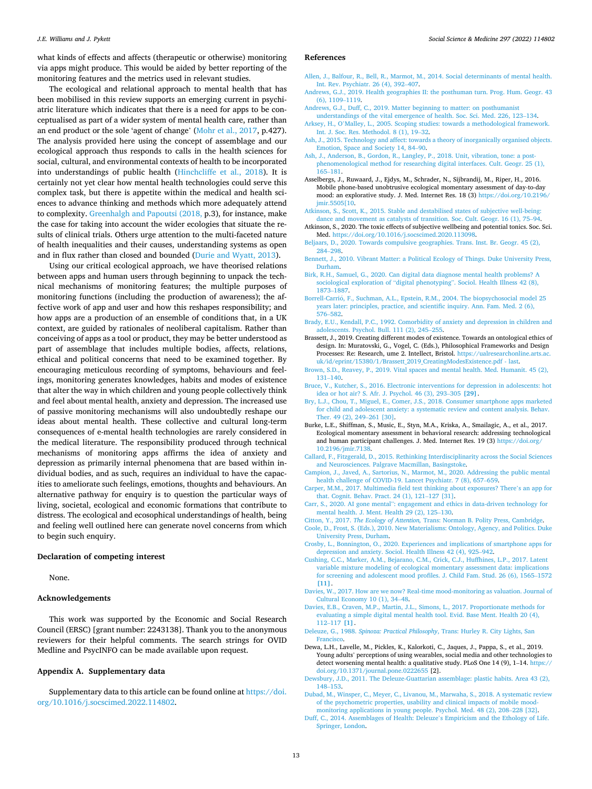#### <span id="page-13-0"></span>*J.E. Williams and J. Pykett*

what kinds of effects and affects (therapeutic or otherwise) monitoring via apps might produce. This would be aided by better reporting of the monitoring features and the metrics used in relevant studies.

The ecological and relational approach to mental health that has been mobilised in this review supports an emerging current in psychiatric literature which indicates that there is a need for apps to be conceptualised as part of a wider system of mental health care, rather than an end product or the sole 'agent of change' ([Mohr et al., 2017,](#page-14-0) p.427). The analysis provided here using the concept of assemblage and our ecological approach thus responds to calls in the health sciences for social, cultural, and environmental contexts of health to be incorporated into understandings of public health ([Hinchcliffe et al., 2018\)](#page-14-0). It is certainly not yet clear how mental health technologies could serve this complex task, but there is appetite within the medical and health sciences to advance thinking and methods which more adequately attend to complexity. [Greenhalgh and Papoutsi \(2018,](#page-14-0) p.3), for instance, make the case for taking into account the wider ecologies that situate the results of clinical trials. Others urge attention to the multi-faceted nature of health inequalities and their causes, understanding systems as open and in flux rather than closed and bounded [\(Durie and Wyatt, 2013](#page-14-0)).

Using our critical ecological approach, we have theorised relations between apps and human users through beginning to unpack the technical mechanisms of monitoring features; the multiple purposes of monitoring functions (including the production of awareness); the affective work of app and user and how this reshapes responsibility; and how apps are a production of an ensemble of conditions that, in a UK context, are guided by rationales of neoliberal capitalism. Rather than conceiving of apps as a tool or product, they may be better understood as part of assemblage that includes multiple bodies, affects, relations, ethical and political concerns that need to be examined together. By encouraging meticulous recording of symptoms, behaviours and feelings, monitoring generates knowledges, habits and modes of existence that alter the way in which children and young people collectively think and feel about mental health, anxiety and depression. The increased use of passive monitoring mechanisms will also undoubtedly reshape our ideas about mental health. These collective and cultural long-term consequences of e-mental health technologies are rarely considered in the medical literature. The responsibility produced through technical mechanisms of monitoring apps affirms the idea of anxiety and depression as primarily internal phenomena that are based within individual bodies, and as such, requires an individual to have the capacities to ameliorate such feelings, emotions, thoughts and behaviours. An alternative pathway for enquiry is to question the particular ways of living, societal, ecological and economic formations that contribute to distress. The ecological and ecosophical understandings of health, being and feeling well outlined here can generate novel concerns from which to begin such enquiry.

#### **Declaration of competing interest**

None.

#### **Acknowledgements**

This work was supported by the Economic and Social Research Council (ERSC) [grant number: 2243138]. Thank you to the anonymous reviewers for their helpful comments. The search strings for OVID Medline and PsycINFO can be made available upon request.

#### **Appendix A. Supplementary data**

Supplementary data to this article can be found online at [https://doi.](https://doi.org/10.1016/j.socscimed.2022.114802)  [org/10.1016/j.socscimed.2022.114802.](https://doi.org/10.1016/j.socscimed.2022.114802)

#### *Social Science & Medicine 297 (2022) 114802*

#### **References**

- [Allen, J., Balfour, R., Bell, R., Marmot, M., 2014. Social determinants of mental health.](http://refhub.elsevier.com/S0277-9536(22)00108-3/sref1)  [Int. Rev. Psychiatr. 26 \(4\), 392](http://refhub.elsevier.com/S0277-9536(22)00108-3/sref1)–407.
- [Andrews, G.J., 2019. Health geographies II: the posthuman turn. Prog. Hum. Geogr. 43](http://refhub.elsevier.com/S0277-9536(22)00108-3/sref2)  [\(6\), 1109](http://refhub.elsevier.com/S0277-9536(22)00108-3/sref2)–1119.
- [Andrews, G.J., Duff, C., 2019. Matter beginning to matter: on posthumanist](http://refhub.elsevier.com/S0277-9536(22)00108-3/sref3)
- [understandings of the vital emergence of health. Soc. Sci. Med. 226, 123](http://refhub.elsevier.com/S0277-9536(22)00108-3/sref3)–134. Arksey, H., O'[Malley, L., 2005. Scoping studies: towards a methodological framework.](http://refhub.elsevier.com/S0277-9536(22)00108-3/sref4) [Int. J. Soc. Res. Methodol. 8 \(1\), 19](http://refhub.elsevier.com/S0277-9536(22)00108-3/sref4)–32.
- [Ash, J., 2015. Technology and affect: towards a theory of inorganically organised objects.](http://refhub.elsevier.com/S0277-9536(22)00108-3/sref5)  [Emotion, Space and Society 14, 84](http://refhub.elsevier.com/S0277-9536(22)00108-3/sref5)–90.
- [Ash, J., Anderson, B., Gordon, R., Langley, P., 2018. Unit, vibration, tone: a post](http://refhub.elsevier.com/S0277-9536(22)00108-3/sref6)[phenomenological method for researching digital interfaces. Cult. Geogr. 25 \(1\),](http://refhub.elsevier.com/S0277-9536(22)00108-3/sref6) 165–[181](http://refhub.elsevier.com/S0277-9536(22)00108-3/sref6).
- Asselbergs, J., Ruwaard, J., Ejdys, M., Schrader, N., Sijbrandij, M., Riper, H., 2016. Mobile phone-based unobtrusive ecological momentary assessment of day-to-day mood: an explorative study. J. Med. Internet Res. 18 (3) [https://doi.org/10.2196/](https://doi.org/10.2196/jmir.5505[10) imir.5505[10.
- [Atkinson, S., Scott, K., 2015. Stable and destabilised states of subjective well-being:](http://refhub.elsevier.com/S0277-9536(22)00108-3/sref8) [dance and movement as catalysts of transition. Soc. Cult. Geogr. 16 \(1\), 75](http://refhub.elsevier.com/S0277-9536(22)00108-3/sref8)–94.
- Atkinson, S., 2020. The toxic effects of subjective wellbeing and potential tonics. Soc. Sci. Med. <https://doi.org/10.1016/j.socscimed.2020.113098>.
- [Beljaars, D., 2020. Towards compulsive geographies. Trans. Inst. Br. Geogr. 45 \(2\),](http://refhub.elsevier.com/S0277-9536(22)00108-3/sref10)  284–[298](http://refhub.elsevier.com/S0277-9536(22)00108-3/sref10).
- [Bennett, J., 2010. Vibrant Matter: a Political Ecology of Things. Duke University Press,](http://refhub.elsevier.com/S0277-9536(22)00108-3/sref11)  [Durham](http://refhub.elsevier.com/S0277-9536(22)00108-3/sref11).
- [Birk, R.H., Samuel, G., 2020. Can digital data diagnose mental health problems? A](http://refhub.elsevier.com/S0277-9536(22)00108-3/sref12) sociological exploration of "digital phenotyping"[. Sociol. Health Illness 42 \(8\),](http://refhub.elsevier.com/S0277-9536(22)00108-3/sref12) [1873](http://refhub.elsevier.com/S0277-9536(22)00108-3/sref12)–1887.
- Borrell-Carrió, F., Suchman, A.L., Epstein, R.M., 2004. The biopsychosocial model 25 [years later: principles, practice, and scientific inquiry. Ann. Fam. Med. 2 \(6\),](http://refhub.elsevier.com/S0277-9536(22)00108-3/sref13) 576–[582](http://refhub.elsevier.com/S0277-9536(22)00108-3/sref13).
- [Brady, E.U., Kendall, P.C., 1992. Comorbidity of anxiety and depression in children and](http://refhub.elsevier.com/S0277-9536(22)00108-3/sref14)  [adolescents. Psychol. Bull. 111 \(2\), 245](http://refhub.elsevier.com/S0277-9536(22)00108-3/sref14)–255.
- Brassett, J., 2019. Creating different modes of existence. Towards an ontological ethics of design. In: Muratovski, G., Vogel, C. (Eds.), Philosophical Frameworks and Design Processes: Re: Research, ume 2. Intellect, Bristol. [https://ualresearchonline.arts.ac.](https://ualresearchonline.arts.ac.uk/id/eprint/15380/1/Brassett_2019_CreatingModesExistence.pdf%20-%20last)  [uk/id/eprint/15380/1/Brassett\\_2019\\_CreatingModesExistence.pdf - last.](https://ualresearchonline.arts.ac.uk/id/eprint/15380/1/Brassett_2019_CreatingModesExistence.pdf%20-%20last)
- [Brown, S.D., Reavey, P., 2019. Vital spaces and mental health. Med. Humanit. 45 \(2\),](http://refhub.elsevier.com/S0277-9536(22)00108-3/sref16)  131–[140](http://refhub.elsevier.com/S0277-9536(22)00108-3/sref16).
- [Bruce, V., Kutcher, S., 2016. Electronic interventions for depression in adolescents: hot](http://refhub.elsevier.com/S0277-9536(22)00108-3/sref17) [idea or hot air? S. Afr. J. Psychol. 46 \(3\), 293](http://refhub.elsevier.com/S0277-9536(22)00108-3/sref17)–305 **[29]**.
- [Bry, L.J., Chou, T., Miguel, E., Comer, J.S., 2018. Consumer smartphone apps marketed](http://refhub.elsevier.com/S0277-9536(22)00108-3/sref18)  [for child and adolescent anxiety: a systematic review and content analysis. Behav.](http://refhub.elsevier.com/S0277-9536(22)00108-3/sref18) [Ther. 49 \(2\), 249](http://refhub.elsevier.com/S0277-9536(22)00108-3/sref18)–261 [30].
- Burke, L.E., Shiffman, S., Music, E., Styn, M.A., Kriska, A., Smailagic, A., et al., 2017. Ecological momentary assessment in behavioral research: addressing technological and human participant challenges. J. Med. Internet Res. 19 (3) [https://doi.org/](https://doi.org/10.2196/jmir.7138)  [10.2196/jmir.7138.](https://doi.org/10.2196/jmir.7138)
- [Callard, F., Fitzgerald, D., 2015. Rethinking Interdisciplinarity across the Social Sciences](http://refhub.elsevier.com/S0277-9536(22)00108-3/sref20)  [and Neurosciences. Palgrave Macmillan, Basingstoke.](http://refhub.elsevier.com/S0277-9536(22)00108-3/sref20)
- [Campion, J., Javed, A., Sartorius, N., Marmot, M., 2020. Addressing the public mental](http://refhub.elsevier.com/S0277-9536(22)00108-3/sref21)  [health challenge of COVID-19. Lancet Psychiatr. 7 \(8\), 657](http://refhub.elsevier.com/S0277-9536(22)00108-3/sref21)–659.
- [Carper, M.M., 2017. Multimedia field test thinking about exposures? There](http://refhub.elsevier.com/S0277-9536(22)00108-3/sref22)'s an app for [that. Cognit. Behav. Pract. 24 \(1\), 121](http://refhub.elsevier.com/S0277-9536(22)00108-3/sref22)–127 [31].
- Carr, S., 2020. AI gone mental"[: engagement and ethics in data-driven technology for](http://refhub.elsevier.com/S0277-9536(22)00108-3/sref23) [mental health. J. Ment. Health 29 \(2\), 125](http://refhub.elsevier.com/S0277-9536(22)00108-3/sref23)–130.
- Citton, Y., 2017. *The Ecology of Attention,* [Trans: Norman B. Polity Press, Cambridge](http://refhub.elsevier.com/S0277-9536(22)00108-3/sref24).
- [Coole, D., Frost, S. \(Eds.\), 2010. New Materialisms: Ontology, Agency, and Politics. Duke](http://refhub.elsevier.com/S0277-9536(22)00108-3/sref25)  [University Press, Durham.](http://refhub.elsevier.com/S0277-9536(22)00108-3/sref25)
- [Crosby, L., Bonnington, O., 2020. Experiences and implications of smartphone apps for](http://refhub.elsevier.com/S0277-9536(22)00108-3/sref26) [depression and anxiety. Sociol. Health Illness 42 \(4\), 925](http://refhub.elsevier.com/S0277-9536(22)00108-3/sref26)–942.
- [Cushing, C.C., Marker, A.M., Bejarano, C.M., Crick, C.J., Huffhines, L.P., 2017. Latent](http://refhub.elsevier.com/S0277-9536(22)00108-3/sref27) [variable mixture modeling of ecological momentary assessment data: implications](http://refhub.elsevier.com/S0277-9536(22)00108-3/sref27)  [for screening and adolescent mood profiles. J. Child Fam. Stud. 26 \(6\), 1565](http://refhub.elsevier.com/S0277-9536(22)00108-3/sref27)–1572 **[\[11\]](http://refhub.elsevier.com/S0277-9536(22)00108-3/sref27)**.
- [Davies, W., 2017. How are we now? Real-time mood-monitoring as valuation. Journal of](http://refhub.elsevier.com/S0277-9536(22)00108-3/sref28)  [Cultural Economy 10 \(1\), 34](http://refhub.elsevier.com/S0277-9536(22)00108-3/sref28)–48.
- [Davies, E.B., Craven, M.P., Martin, J.L., Simons, L., 2017. Proportionate methods for](http://refhub.elsevier.com/S0277-9536(22)00108-3/sref29) [evaluating a simple digital mental health tool. Evid. Base Ment. Health 20 \(4\),](http://refhub.elsevier.com/S0277-9536(22)00108-3/sref29) 112–[117](http://refhub.elsevier.com/S0277-9536(22)00108-3/sref29) **[1]**.
- Deleuze, G., 1988. *Spinoza: Practical Philosophy*[, Trans: Hurley R. City Lights, San](http://refhub.elsevier.com/S0277-9536(22)00108-3/sref30) [Francisco](http://refhub.elsevier.com/S0277-9536(22)00108-3/sref30).
- Dewa, L.H., Lavelle, M., Pickles, K., Kalorkoti, C., Jaques, J., Pappa, S., et al., 2019. Young adults' perceptions of using wearables, social media and other technologies to detect worsening mental health: a qualitative study. PLoS One 14 (9), 1–14. [https://](https://doi.org/10.1371/journal.pone.0222655)  [doi.org/10.1371/journal.pone.0222655](https://doi.org/10.1371/journal.pone.0222655) [2].
- [Dewsbury, J.D., 2011. The Deleuze-Guattarian assemblage: plastic habits. Area 43 \(2\),](http://refhub.elsevier.com/S0277-9536(22)00108-3/sref32) 148–[153](http://refhub.elsevier.com/S0277-9536(22)00108-3/sref32).
- [Dubad, M., Winsper, C., Meyer, C., Livanou, M., Marwaha, S., 2018. A systematic review](http://refhub.elsevier.com/S0277-9536(22)00108-3/sref33)  [of the psychometric properties, usability and clinical impacts of mobile mood](http://refhub.elsevier.com/S0277-9536(22)00108-3/sref33)[monitoring applications in young people. Psychol. Med. 48 \(2\), 208](http://refhub.elsevier.com/S0277-9536(22)00108-3/sref33)–228 [32].
- [Duff, C., 2014. Assemblages of Health: Deleuze](http://refhub.elsevier.com/S0277-9536(22)00108-3/sref34)'s Empiricism and the Ethology of Life. [Springer, London](http://refhub.elsevier.com/S0277-9536(22)00108-3/sref34).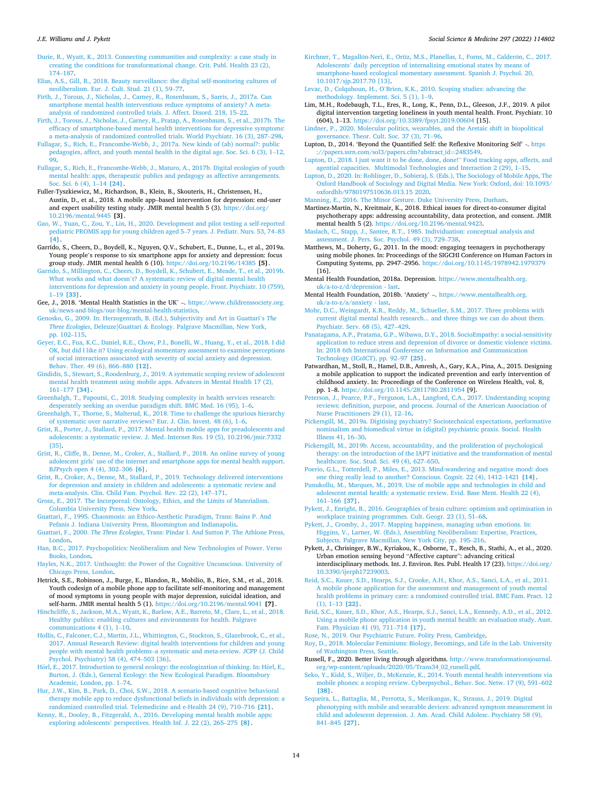#### <span id="page-14-0"></span>*J.E. Williams and J. Pykett*

[Durie, R., Wyatt, K., 2013. Connecting communities and complexity: a case study in](http://refhub.elsevier.com/S0277-9536(22)00108-3/sref35) [creating the conditions for transformational change. Crit. Publ. Health 23 \(2\),](http://refhub.elsevier.com/S0277-9536(22)00108-3/sref35)  174–[187](http://refhub.elsevier.com/S0277-9536(22)00108-3/sref35).

[Elias, A.S., Gill, R., 2018. Beauty surveillance: the digital self-monitoring cultures of](http://refhub.elsevier.com/S0277-9536(22)00108-3/sref36) [neoliberalism. Eur. J. Cult. Stud. 21 \(1\), 59](http://refhub.elsevier.com/S0277-9536(22)00108-3/sref36)–77.

[Firth, J., Torous, J., Nicholas, J., Carney, R., Rosenbaum, S., Sarris, J., 2017a. Can](http://refhub.elsevier.com/S0277-9536(22)00108-3/sref37) [smartphone mental health interventions reduce symptoms of anxiety? A meta](http://refhub.elsevier.com/S0277-9536(22)00108-3/sref37)[analysis of randomized controlled trials. J. Affect. Disord. 218, 15](http://refhub.elsevier.com/S0277-9536(22)00108-3/sref37)–22.

[Firth, J., Torous, J., Nicholas, J., Carney, R., Pratap, A., Rosenbaum, S., et al., 2017b. The](http://refhub.elsevier.com/S0277-9536(22)00108-3/sref38)  [efficacy of smartphone-based mental health interventions for depressive symptoms:](http://refhub.elsevier.com/S0277-9536(22)00108-3/sref38)  [a meta-analysis of randomized controlled trials. World Psychiatr. 16 \(3\), 287](http://refhub.elsevier.com/S0277-9536(22)00108-3/sref38)–298.

[Fullagar, S., Rich, E., Francombe-Webb, J., 2017a. New kinds of \(ab\) normal?: public](http://refhub.elsevier.com/S0277-9536(22)00108-3/sref39)  [pedagogies, affect, and youth mental health in the digital age. Soc. Sci. 6 \(3\), 1](http://refhub.elsevier.com/S0277-9536(22)00108-3/sref39)–12,  $99.$ 

[Fullagar, S., Rich, E., Francombe-Webb, J., Maturo, A., 2017b. Digital ecologies of youth](http://refhub.elsevier.com/S0277-9536(22)00108-3/sref40)  [mental health: apps, therapeutic publics and pedagogy as affective arrangements.](http://refhub.elsevier.com/S0277-9536(22)00108-3/sref40) [Soc. Sci. 6 \(4\), 1](http://refhub.elsevier.com/S0277-9536(22)00108-3/sref40)–14 **[24]**.

Fuller-Tyszkiewicz, M., Richardson, B., Klein, B., Skouteris, H., Christensen, H., Austin, D., et al., 2018. A mobile app–based intervention for depression: end-user and expert usability testing study. JMIR mental health 5 (3). [https://doi.org/](https://doi.org/10.2196/mental.9445) [10.2196/mental.9445](https://doi.org/10.2196/mental.9445) **[3]**.

[Gao, W., Yuan, C., Zou, Y., Lin, H., 2020. Development and pilot testing a self-reported](http://refhub.elsevier.com/S0277-9536(22)00108-3/sref42)  [pediatric PROMIS app for young children aged 5](http://refhub.elsevier.com/S0277-9536(22)00108-3/sref42)–7 years. J. Pediatr. Nurs. 53, 74–83 **[\[4\]](http://refhub.elsevier.com/S0277-9536(22)00108-3/sref42)**.

Garrido, S., Cheers, D., Boydell, K., Nguyen, Q.V., Schubert, E., Dunne, L., et al., 2019a. Young people's response to six smartphone apps for anxiety and depression: focus group study. JMIR mental health 6 (10). <https://doi.org/10.2196/14385> **[5]**.

[Garrido, S., Millington, C., Cheers, D., Boydell, K., Schubert, E., Meade, T., et al., 2019b.](http://refhub.elsevier.com/S0277-9536(22)00108-3/sref44)  What works and what doesn'[t? A systematic review of digital mental health](http://refhub.elsevier.com/S0277-9536(22)00108-3/sref44)  [interventions for depression and anxiety in young people. Front. Psychiatr. 10 \(759\),](http://refhub.elsevier.com/S0277-9536(22)00108-3/sref44)  1–19 **[\[33\]](http://refhub.elsevier.com/S0277-9536(22)00108-3/sref44)**.

Gee, J., 2018. 'Mental Health Statistics in the UK' –. [https://www.childrenssociety.org.](https://www.childrenssociety.org.uk/news-and-blogs/our-blog/mental-health-statistics)  [uk/news-and-blogs/our-blog/mental-health-statistics.](https://www.childrenssociety.org.uk/news-and-blogs/our-blog/mental-health-statistics)

[Genosko, G., 2009. In: Herzogenrath, B. \(Ed.\), Subjectivity and Art in Guattari](http://refhub.elsevier.com/S0277-9536(22)00108-3/sref46)'s *The Three Ecologies*, Deleuze|Guattari & [Ecology. Palgrave Macmillan, New York,](http://refhub.elsevier.com/S0277-9536(22)00108-3/sref46) [pp. 102](http://refhub.elsevier.com/S0277-9536(22)00108-3/sref46)–115.

[Geyer, E.C., Fua, K.C., Daniel, K.E., Chow, P.I., Bonelli, W., Huang, Y., et al., 2018. I did](http://refhub.elsevier.com/S0277-9536(22)00108-3/sref47)  [OK, but did I like it? Using ecological momentary assessment to examine perceptions](http://refhub.elsevier.com/S0277-9536(22)00108-3/sref47)  [of social interactions associated with severity of social anxiety and depression.](http://refhub.elsevier.com/S0277-9536(22)00108-3/sref47)  [Behav. Ther. 49 \(6\), 866](http://refhub.elsevier.com/S0277-9536(22)00108-3/sref47)–880 **[12]**.

[Gindidis, S., Stewart, S., Roodenburg, J., 2019. A systematic scoping review of adolescent](http://refhub.elsevier.com/S0277-9536(22)00108-3/sref48)  [mental health treatment using mobile apps. Advances in Mental Health 17 \(2\),](http://refhub.elsevier.com/S0277-9536(22)00108-3/sref48)  161–177 **[\[34\]](http://refhub.elsevier.com/S0277-9536(22)00108-3/sref48)**.

[Greenhalgh, T., Papoutsi, C., 2018. Studying complexity in health services research:](http://refhub.elsevier.com/S0277-9536(22)00108-3/sref49) [desperately seeking an overdue paradigm shift. BMC Med. 16 \(95\), 1](http://refhub.elsevier.com/S0277-9536(22)00108-3/sref49)–6.

[Greenhalgh, T., Thorne, S., Malterud, K., 2018. Time to challenge the spurious hierarchy](http://refhub.elsevier.com/S0277-9536(22)00108-3/sref50)  [of systematic over narrative reviews? Eur. J. Clin. Invest. 48 \(6\), 1](http://refhub.elsevier.com/S0277-9536(22)00108-3/sref50)–6.

[Grist, R., Porter, J., Stallard, P., 2017. Mental health mobile apps for preadolescents and](http://refhub.elsevier.com/S0277-9536(22)00108-3/sref51)  [adolescents: a systematic review. J. Med. Internet Res. 19 \(5\), 10.2196/jmir.7332](http://refhub.elsevier.com/S0277-9536(22)00108-3/sref51) [\[35\]](http://refhub.elsevier.com/S0277-9536(22)00108-3/sref51).

[Grist, R., Cliffe, B., Denne, M., Croker, A., Stallard, P., 2018. An online survey of young](http://refhub.elsevier.com/S0277-9536(22)00108-3/sref52)  adolescent girls' [use of the internet and smartphone apps for mental health support.](http://refhub.elsevier.com/S0277-9536(22)00108-3/sref52)  [BJPsych open 4 \(4\), 302](http://refhub.elsevier.com/S0277-9536(22)00108-3/sref52)–306 **[6]**.

[Grist, R., Croker, A., Denne, M., Stallard, P., 2019. Technology delivered interventions](http://refhub.elsevier.com/S0277-9536(22)00108-3/sref53)  [for depression and anxiety in children and adolescents: a systematic review and](http://refhub.elsevier.com/S0277-9536(22)00108-3/sref53)  [meta-analysis. Clin. Child Fam. Psychol. Rev. 22 \(2\), 147](http://refhub.elsevier.com/S0277-9536(22)00108-3/sref53)–171.

[Grosz, E., 2017. The Incorporeal: Ontology, Ethics, and the Limits of Materialism.](http://refhub.elsevier.com/S0277-9536(22)00108-3/sref54) [Columbia University Press, New York.](http://refhub.elsevier.com/S0277-9536(22)00108-3/sref54)

[Guattari, F., 1995. Chaosmosis: an Ethico-Aesthetic Paradigm, Trans: Bains P. And](http://refhub.elsevier.com/S0277-9536(22)00108-3/sref55)  [Pefanis J. Indiana University Press, Bloomington and Indianapolis.](http://refhub.elsevier.com/S0277-9536(22)00108-3/sref55)

Guattari, F., 2000. *The Three Ecologies*[, Trans: Pindar I. And Sutton P. The Athlone Press,](http://refhub.elsevier.com/S0277-9536(22)00108-3/sref56)  [London.](http://refhub.elsevier.com/S0277-9536(22)00108-3/sref56)

[Han, B.C., 2017. Psychopolitics: Neoliberalism and New Technologies of Power. Verso](http://refhub.elsevier.com/S0277-9536(22)00108-3/sref57)  [Books, London](http://refhub.elsevier.com/S0277-9536(22)00108-3/sref57).

[Hayles, N.K., 2017. Unthought: the Power of the Cognitive Unconscious. University of](http://refhub.elsevier.com/S0277-9536(22)00108-3/sref58)  [Chicago Press, London.](http://refhub.elsevier.com/S0277-9536(22)00108-3/sref58)

Hetrick, S.E., Robinson, J., Burge, E., Blandon, R., Mobilio, B., Rice, S.M., et al., 2018. Youth codesign of a mobile phone app to facilitate self-monitoring and management of mood symptoms in young people with major depression, suicidal ideation, and self-harm. JMIR mental health 5 (1).<https://doi.org/10.2196/mental.9041>**[7]**.

[Hinchcliffe, S., Jackson, M.A., Wyatt, K., Barlow, A.E., Barreto, M., Clare, L., et al., 2018.](http://refhub.elsevier.com/S0277-9536(22)00108-3/sref60)  [Healthy publics: enabling cultures and environments for health. Palgrave](http://refhub.elsevier.com/S0277-9536(22)00108-3/sref60) [communications 4 \(1\), 1](http://refhub.elsevier.com/S0277-9536(22)00108-3/sref60)–10.

[Hollis, C., Falconer, C.J., Martin, J.L., Whittington, C., Stockton, S., Glazebrook, C., et al.,](http://refhub.elsevier.com/S0277-9536(22)00108-3/sref61)  [2017. Annual Research Review: digital health interventions for children and young](http://refhub.elsevier.com/S0277-9536(22)00108-3/sref61)  people with mental health problems–[a systematic and meta-review. JCPP \(J. Child](http://refhub.elsevier.com/S0277-9536(22)00108-3/sref61)  [Psychol. Psychiatry\) 58 \(4\), 474](http://refhub.elsevier.com/S0277-9536(22)00108-3/sref61)–503 [36].

Hörl, E., 2017. Introduction to general ecology: the ecologization of thinking. In: Hörl, E., [Burton, J. \(Eds.\), General Ecology: the New Ecological Paradigm. Bloomsbury](http://refhub.elsevier.com/S0277-9536(22)00108-3/sref62)  [Academic, London, pp. 1](http://refhub.elsevier.com/S0277-9536(22)00108-3/sref62)–74.

[Hur, J.W., Kim, B., Park, D., Choi, S.W., 2018. A scenario-based cognitive behavioral](http://refhub.elsevier.com/S0277-9536(22)00108-3/sref63)  [therapy mobile app to reduce dysfunctional beliefs in individuals with depression: a](http://refhub.elsevier.com/S0277-9536(22)00108-3/sref63)  [randomized controlled trial. Telemedicine and e-Health 24 \(9\), 710](http://refhub.elsevier.com/S0277-9536(22)00108-3/sref63)–716 **[21]**.

[Kenny, R., Dooley, B., Fitzgerald, A., 2016. Developing mental health mobile apps:](http://refhub.elsevier.com/S0277-9536(22)00108-3/sref64) exploring adolescents' [perspectives. Health Inf. J. 22 \(2\), 265](http://refhub.elsevier.com/S0277-9536(22)00108-3/sref64)–275 **[8]**.

Kirchner, T., Magallón-Neri, E., Ortiz, M.S., Planellas, I., Forns, M., Calderón, C., 2017. Adolescents' [daily perception of internalizing emotional states by means of](http://refhub.elsevier.com/S0277-9536(22)00108-3/sref65) [smartphone-based ecological momentary assessment. Spanish J. Psychol. 20,](http://refhub.elsevier.com/S0277-9536(22)00108-3/sref65) [10.1017/sjp.2017.70 \[13\].](http://refhub.elsevier.com/S0277-9536(22)00108-3/sref65)

Levac, D., Colquhoun, H., O'[Brien, K.K., 2010. Scoping studies: advancing the](http://refhub.elsevier.com/S0277-9536(22)00108-3/sref66) [methodology. Implement. Sci. 5 \(1\), 1](http://refhub.elsevier.com/S0277-9536(22)00108-3/sref66)–9.

Lim, M.H., Rodebaugh, T.L., Eres, R., Long, K., Penn, D.L., Gleeson, J.F., 2019. A pilot digital intervention targeting loneliness in youth mental health. Front. Psychiatr. 10 (604), 1–13. <https://doi.org/10.3389/fpsyt.2019.00604> [15].

[Lindner, P., 2020. Molecular politics, wearables, and the Aretaic shift in biopolitical](http://refhub.elsevier.com/S0277-9536(22)00108-3/sref68) [governance. Theor. Cult. Soc. 37 \(3\), 71](http://refhub.elsevier.com/S0277-9536(22)00108-3/sref68)–96.

Lupton, D., 2014. 'Beyond the Quantified Self: the Reflexive Monitoring Self' -. [https](https://papers.ssrn.com/sol3/papers.cfm?abstract_id=2483549)  [://papers.ssrn.com/sol3/papers.cfm?abstract\\_id](https://papers.ssrn.com/sol3/papers.cfm?abstract_id=2483549)=2483549.

[Lupton, D., 2018. I just want it to be done, done, done!](http://refhub.elsevier.com/S0277-9536(22)00108-3/sref70)" Food tracking apps, affects, and [agential capacities. Multimodal Technologies and Interaction 2 \(29\), 1](http://refhub.elsevier.com/S0277-9536(22)00108-3/sref70)–15.

[Lupton, D., 2020. In: Rohlinger, D., Sobieraj, S. \(Eds.\), The Sociology of Mobile Apps, The](http://refhub.elsevier.com/S0277-9536(22)00108-3/sref71)  [Oxford Handbook of Sociology and Digital Media. New York: Oxford, doi: 10.1093/](http://refhub.elsevier.com/S0277-9536(22)00108-3/sref71)  [oxfordhb/9780197510636.013.15 2020.](http://refhub.elsevier.com/S0277-9536(22)00108-3/sref71)

[Manning, E., 2016. The Minor Gesture. Duke University Press, Durham.](http://refhub.elsevier.com/S0277-9536(22)00108-3/sref72)

Martinez-Martin, N., Kreitmair, K., 2018. Ethical issues for direct-to-consumer digital psychotherapy apps: addressing accountability, data protection, and consent. JMIR mental health 5 (2). <https://doi.org/10.2196/mental.9423>.

[Maslach, C., Stapp, J., Santee, R.T., 1985. Individuation: conceptual analysis and](http://refhub.elsevier.com/S0277-9536(22)00108-3/sref74)  [assessment. J. Pers. Soc. Psychol. 49 \(3\), 729](http://refhub.elsevier.com/S0277-9536(22)00108-3/sref74)–738.

Matthews, M., Doherty, G., 2011. In the mood: engaging teenagers in psychotherapy using mobile phones. In: Proceedings of the SIGCHI Conference on Human Factors in Computing Systems, pp. 2947–2956. <https://doi.org/10.1145/1978942.1979379> [16].

Mental Health Foundation, 2018a. Depression. [https://www.mentalhealth.org.](https://www.mentalhealth.org.uk/a-to-z/d/depression%20-%20last)  [uk/a-to-z/d/depression - last.](https://www.mentalhealth.org.uk/a-to-z/d/depression%20-%20last)

Mental Health Foundation, 2018b. 'Anxiety' – https://www.mentalhealth.org. [uk/a-to-z/a/anxiety - last.](https://www.mentalhealth.org.uk/a-to-z/a/anxiety%20-%20last)

[Mohr, D.C., Weingardt, K.R., Reddy, M., Schueller, S.M., 2017. Three problems with](http://refhub.elsevier.com/S0277-9536(22)00108-3/sref78)  [current digital mental health research... and three things we can do about them.](http://refhub.elsevier.com/S0277-9536(22)00108-3/sref78) [Psychiatr. Serv. 68 \(5\), 427](http://refhub.elsevier.com/S0277-9536(22)00108-3/sref78)–429.

[Panatagama, A.P., Pratama, G.P., Wibawa, D.Y., 2018. SocioEmpathy: a social-sensitivity](http://refhub.elsevier.com/S0277-9536(22)00108-3/sref79)  [application to reduce stress and depression of divorce or domestic violence victims.](http://refhub.elsevier.com/S0277-9536(22)00108-3/sref79)  [In: 2018 6th International Conference on Information and Communication](http://refhub.elsevier.com/S0277-9536(22)00108-3/sref79) [Technology \(ICoICT\), pp. 92](http://refhub.elsevier.com/S0277-9536(22)00108-3/sref79)–97 **[25]**.

Patwardhan, M., Stoll, R., Hamel, D.B., Amresh, A., Gary, K.A., Pina, A., 2015. Designing a mobile application to support the indicated prevention and early intervention of childhood anxiety. In: Proceedings of the Conference on Wireless Health, vol. 8, pp. 1–8. <https://doi.org/10.1145/2811780.2811954>[9].

[Peterson, J., Pearce, P.F., Ferguson, L.A., Langford, C.A., 2017. Understanding scoping](http://refhub.elsevier.com/S0277-9536(22)00108-3/sref81)  [reviews: definition, purpose, and process. Journal of the American Association of](http://refhub.elsevier.com/S0277-9536(22)00108-3/sref81) [Nurse Practitioners 29 \(1\), 12](http://refhub.elsevier.com/S0277-9536(22)00108-3/sref81)–16.

[Pickersgill, M., 2019a. Digitising psychiatry? Sociotechnical expectations, performative](http://refhub.elsevier.com/S0277-9536(22)00108-3/sref82)  [nominalism and biomedical virtue in \(digital\) psychiatric praxis. Sociol. Health](http://refhub.elsevier.com/S0277-9536(22)00108-3/sref82)  [Illness 41, 16](http://refhub.elsevier.com/S0277-9536(22)00108-3/sref82)–30.

[Pickersgill, M., 2019b. Access, accountability, and the proliferation of psychological](http://refhub.elsevier.com/S0277-9536(22)00108-3/sref83) [therapy: on the introduction of the IAPT initiative and the transformation of mental](http://refhub.elsevier.com/S0277-9536(22)00108-3/sref83)  [healthcare. Soc. Stud. Sci. 49 \(4\), 627](http://refhub.elsevier.com/S0277-9536(22)00108-3/sref83)–650.

[Poerio, G.L., Totterdell, P., Miles, E., 2013. Mind-wandering and negative mood: does](http://refhub.elsevier.com/S0277-9536(22)00108-3/sref84)  [one thing really lead to another? Conscious. Cognit. 22 \(4\), 1412](http://refhub.elsevier.com/S0277-9536(22)00108-3/sref84)–1421 **[14]**.

[Punukollu, M., Marques, M., 2019. Use of mobile apps and technologies in child and](http://refhub.elsevier.com/S0277-9536(22)00108-3/sref85) [adolescent mental health: a systematic review. Evid. Base Ment. Health 22 \(4\),](http://refhub.elsevier.com/S0277-9536(22)00108-3/sref85)  161–166 **[\[37\]](http://refhub.elsevier.com/S0277-9536(22)00108-3/sref85)**.

[Pykett, J., Enright, B., 2016. Geographies of brain culture: optimism and optimisation in](http://refhub.elsevier.com/S0277-9536(22)00108-3/sref86) 

[workplace training programmes. Cult. Geogr. 23 \(1\), 51](http://refhub.elsevier.com/S0277-9536(22)00108-3/sref86)–68. [Pykett, J., Cromby, J., 2017. Mapping happiness, managing urban emotions. In:](http://refhub.elsevier.com/S0277-9536(22)00108-3/sref87)  [Higgins, V., Larner, W. \(Eds.\), Assembling Neoliberalism: Expertise, Practices,](http://refhub.elsevier.com/S0277-9536(22)00108-3/sref87)  [Subjects. Palgrave Macmillan, New York City, pp. 195](http://refhub.elsevier.com/S0277-9536(22)00108-3/sref87)–216.

Pykett, J., Chrisinger, B.W., Kyriakou, K., Osborne, T., Resch, B., Stathi, A., et al., 2020. Urban emotion sensing beyond "Affective capture": advancing critical interdisciplinary methods. Int. J. Environ. Res. Publ. Health 17 (23). [https://doi.org/](https://doi.org/10.3390/ijerph17239003)  [10.3390/ijerph17239003](https://doi.org/10.3390/ijerph17239003).

[Reid, S.C., Kauer, S.D., Hearps, S.J., Crooke, A.H., Khor, A.S., Sanci, L.A., et al., 2011.](http://refhub.elsevier.com/S0277-9536(22)00108-3/sref89)  [A mobile phone application for the assessment and management of youth mental](http://refhub.elsevier.com/S0277-9536(22)00108-3/sref89)  [health problems in primary care: a randomised controlled trial. BMC Fam. Pract. 12](http://refhub.elsevier.com/S0277-9536(22)00108-3/sref89)  [\(1\), 1](http://refhub.elsevier.com/S0277-9536(22)00108-3/sref89)–13 **[22]**.

[Reid, S.C., Kauer, S.D., Khor, A.S., Hearps, S.J., Sanci, L.A., Kennedy, A.D., et al., 2012.](http://refhub.elsevier.com/S0277-9536(22)00108-3/sref90)  [Using a mobile phone application in youth mental health: an evaluation study. Aust.](http://refhub.elsevier.com/S0277-9536(22)00108-3/sref90)  [Fam. Physician 41 \(9\), 711](http://refhub.elsevier.com/S0277-9536(22)00108-3/sref90)–714 **[17]**.

[Rose, N., 2019. Our Psychiatric Future. Polity Press, Cambridge](http://refhub.elsevier.com/S0277-9536(22)00108-3/sref91).

[Roy, D., 2018. Molecular Feminisms: Biology, Becomings, and Life in the Lab. University](http://refhub.elsevier.com/S0277-9536(22)00108-3/sref92)  [of Washington Press, Seattle](http://refhub.elsevier.com/S0277-9536(22)00108-3/sref92).

Russell, F., 2020. Better living through algorithms. [http://www.transformationsjournal.](http://www.transformationsjournal.org/wp-content/uploads/2020/05/Trans34_02_russell.pdf)  [org/wp-content/uploads/2020/05/Trans34\\_02\\_russell.pdf](http://www.transformationsjournal.org/wp-content/uploads/2020/05/Trans34_02_russell.pdf).

[Seko, Y., Kidd, S., Wiljer, D., McKenzie, K., 2014. Youth mental health interventions via](http://refhub.elsevier.com/S0277-9536(22)00108-3/sref94)  [mobile phones: a scoping review. Cyberpsychol., Behav. Soc. Netw. 17 \(9\), 591](http://refhub.elsevier.com/S0277-9536(22)00108-3/sref94)–602 **[\[38\]](http://refhub.elsevier.com/S0277-9536(22)00108-3/sref94)**.

[Sequeira, L., Battaglia, M., Perrotta, S., Merikangas, K., Strauss, J., 2019. Digital](http://refhub.elsevier.com/S0277-9536(22)00108-3/sref95) [phenotyping with mobile and wearable devices: advanced symptom measurement in](http://refhub.elsevier.com/S0277-9536(22)00108-3/sref95)  [child and adolescent depression. J. Am. Acad. Child Adolesc. Psychiatry 58 \(9\),](http://refhub.elsevier.com/S0277-9536(22)00108-3/sref95)  841–845 **[\[27\]](http://refhub.elsevier.com/S0277-9536(22)00108-3/sref95)**.